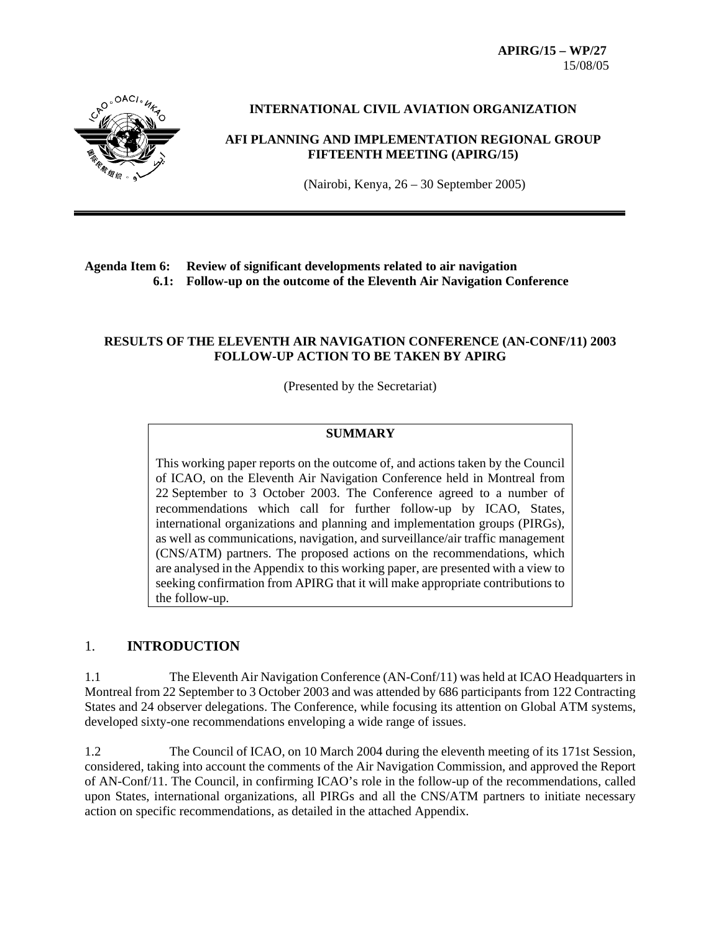**APIRG/15 – WP/27**  15/08/05



## **INTERNATIONAL CIVIL AVIATION ORGANIZATION**

# **AFI PLANNING AND IMPLEMENTATION REGIONAL GROUP FIFTEENTH MEETING (APIRG/15)**

(Nairobi, Kenya, 26 – 30 September 2005)

# **Agenda Item 6: Review of significant developments related to air navigation 6.1: Follow-up on the outcome of the Eleventh Air Navigation Conference**

#### **RESULTS OF THE ELEVENTH AIR NAVIGATION CONFERENCE (AN-CONF/11) 2003 FOLLOW-UP ACTION TO BE TAKEN BY APIRG**

(Presented by the Secretariat)

#### **SUMMARY**

This working paper reports on the outcome of, and actions taken by the Council of ICAO, on the Eleventh Air Navigation Conference held in Montreal from 22 September to 3 October 2003. The Conference agreed to a number of recommendations which call for further follow-up by ICAO, States, international organizations and planning and implementation groups (PIRGs), as well as communications, navigation, and surveillance/air traffic management (CNS/ATM) partners. The proposed actions on the recommendations, which are analysed in the Appendix to this working paper, are presented with a view to seeking confirmation from APIRG that it will make appropriate contributions to the follow-up.

#### 1. **INTRODUCTION**

1.1 The Eleventh Air Navigation Conference (AN-Conf/11) was held at ICAO Headquarters in Montreal from 22 September to 3 October 2003 and was attended by 686 participants from 122 Contracting States and 24 observer delegations. The Conference, while focusing its attention on Global ATM systems, developed sixty-one recommendations enveloping a wide range of issues.

1.2 The Council of ICAO, on 10 March 2004 during the eleventh meeting of its 171st Session, considered, taking into account the comments of the Air Navigation Commission, and approved the Report of AN-Conf/11. The Council, in confirming ICAO's role in the follow-up of the recommendations, called upon States, international organizations, all PIRGs and all the CNS/ATM partners to initiate necessary action on specific recommendations, as detailed in the attached Appendix.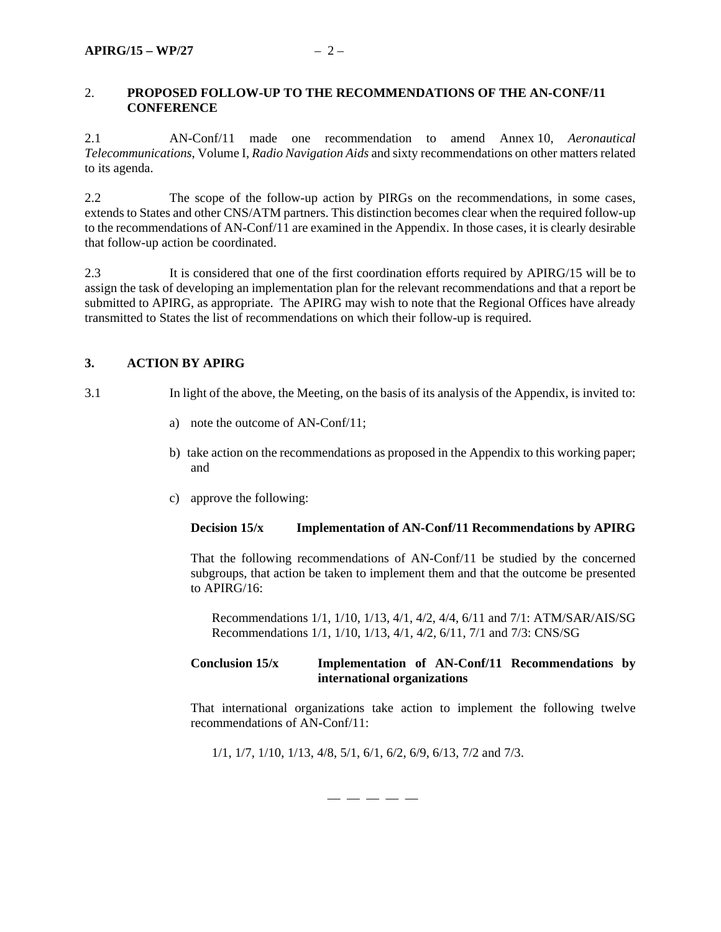#### 2. **PROPOSED FOLLOW-UP TO THE RECOMMENDATIONS OF THE AN-CONF/11 CONFERENCE**

2.1 AN-Conf/11 made one recommendation to amend Annex 10, *Aeronautical Telecommunications*, Volume I, *Radio Navigation Aids* and sixty recommendations on other matters related to its agenda.

2.2 The scope of the follow-up action by PIRGs on the recommendations, in some cases, extends to States and other CNS/ATM partners. This distinction becomes clear when the required follow-up to the recommendations of AN-Conf/11 are examined in the Appendix. In those cases, it is clearly desirable that follow-up action be coordinated.

2.3 It is considered that one of the first coordination efforts required by APIRG/15 will be to assign the task of developing an implementation plan for the relevant recommendations and that a report be submitted to APIRG, as appropriate. The APIRG may wish to note that the Regional Offices have already transmitted to States the list of recommendations on which their follow-up is required.

# **3. ACTION BY APIRG**

- 3.1 In light of the above, the Meeting, on the basis of its analysis of the Appendix, is invited to:
	- a) note the outcome of AN-Conf/11;
	- b) take action on the recommendations as proposed in the Appendix to this working paper; and
	- c) approve the following:

#### **Decision 15/x Implementation of AN-Conf/11 Recommendations by APIRG**

That the following recommendations of AN-Conf/11 be studied by the concerned subgroups, that action be taken to implement them and that the outcome be presented to APIRG/16:

Recommendations 1/1, 1/10, 1/13, 4/1, 4/2, 4/4, 6/11 and 7/1: ATM/SAR/AIS/SG Recommendations 1/1, 1/10, 1/13, 4/1, 4/2, 6/11, 7/1 and 7/3: CNS/SG

#### **Conclusion 15/x Implementation of AN-Conf/11 Recommendations by international organizations**

That international organizations take action to implement the following twelve recommendations of AN-Conf/11:

1/1, 1/7, 1/10, 1/13, 4/8, 5/1, 6/1, 6/2, 6/9, 6/13, 7/2 and 7/3.

— — — — —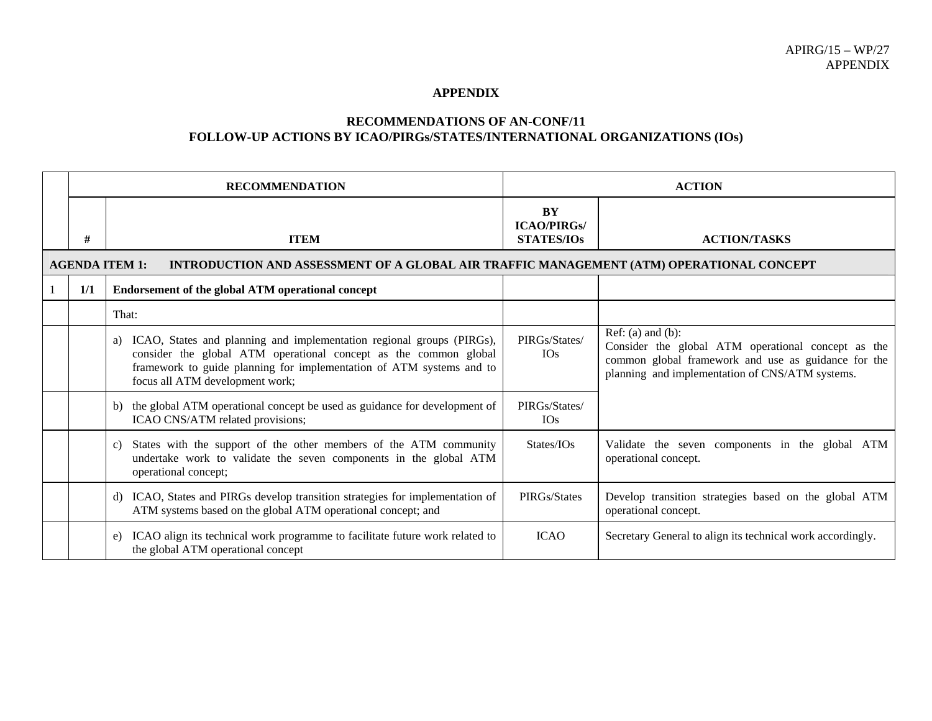#### **APPENDIX**

#### **RECOMMENDATIONS OF AN-CONF/11 FOLLOW-UP ACTIONS BY ICAO/PIRGs/STATES/INTERNATIONAL ORGANIZATIONS (IOs)**

|     | <b>RECOMMENDATION</b>                                                                                                                                                                                                                                   |                                               | <b>ACTION</b>                                                                                                                                                                          |
|-----|---------------------------------------------------------------------------------------------------------------------------------------------------------------------------------------------------------------------------------------------------------|-----------------------------------------------|----------------------------------------------------------------------------------------------------------------------------------------------------------------------------------------|
| #   | <b>ITEM</b>                                                                                                                                                                                                                                             | BY<br><b>ICAO/PIRGs/</b><br><b>STATES/IOs</b> | <b>ACTION/TASKS</b>                                                                                                                                                                    |
|     | <b>AGENDA ITEM 1:</b><br>INTRODUCTION AND ASSESSMENT OF A GLOBAL AIR TRAFFIC MANAGEMENT (ATM) OPERATIONAL CONCEPT                                                                                                                                       |                                               |                                                                                                                                                                                        |
| 1/1 | Endorsement of the global ATM operational concept                                                                                                                                                                                                       |                                               |                                                                                                                                                                                        |
|     | That:                                                                                                                                                                                                                                                   |                                               |                                                                                                                                                                                        |
|     | a) ICAO, States and planning and implementation regional groups (PIRGs),<br>consider the global ATM operational concept as the common global<br>framework to guide planning for implementation of ATM systems and to<br>focus all ATM development work; | PIRGs/States/<br><b>IOs</b>                   | Ref: $(a)$ and $(b)$ :<br>Consider the global ATM operational concept as the<br>common global framework and use as guidance for the<br>planning and implementation of CNS/ATM systems. |
|     | b) the global ATM operational concept be used as guidance for development of<br>ICAO CNS/ATM related provisions;                                                                                                                                        | PIRGs/States/<br><b>IOs</b>                   |                                                                                                                                                                                        |
|     | States with the support of the other members of the ATM community<br>$\mathcal{C}$ )<br>undertake work to validate the seven components in the global ATM<br>operational concept;                                                                       | States/IOs                                    | Validate the seven components in the global ATM<br>operational concept.                                                                                                                |
|     | d) ICAO, States and PIRGs develop transition strategies for implementation of<br>ATM systems based on the global ATM operational concept; and                                                                                                           | PIRGs/States                                  | Develop transition strategies based on the global ATM<br>operational concept.                                                                                                          |
|     | e) ICAO align its technical work programme to facilitate future work related to<br>the global ATM operational concept                                                                                                                                   | <b>ICAO</b>                                   | Secretary General to align its technical work accordingly.                                                                                                                             |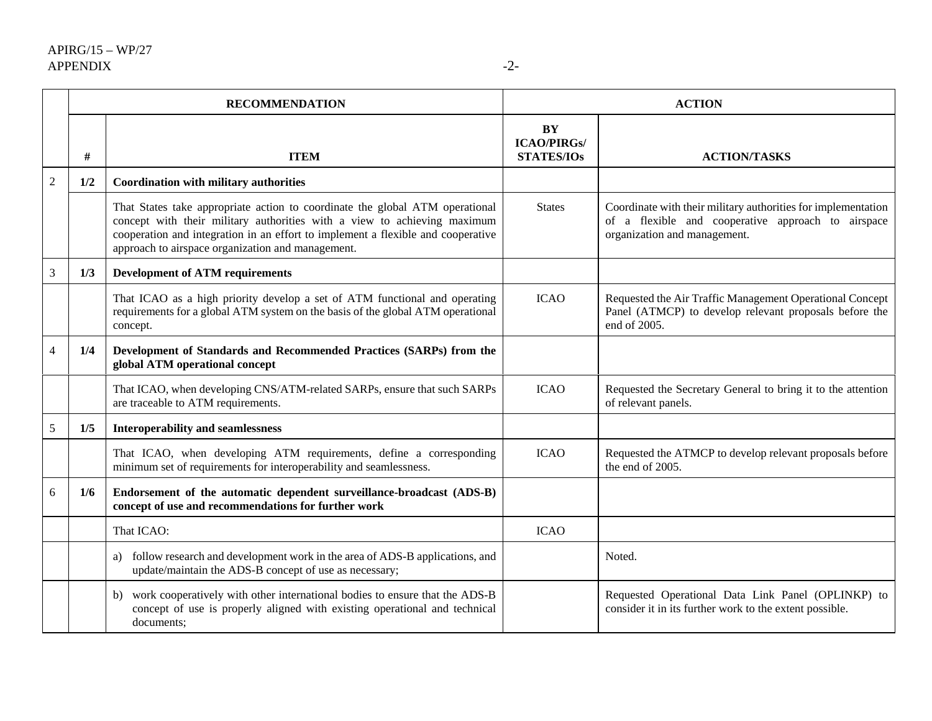|                |     | <b>RECOMMENDATION</b>                                                                                                                                                                                                                                                                             |                                               | <b>ACTION</b>                                                                                                                                       |
|----------------|-----|---------------------------------------------------------------------------------------------------------------------------------------------------------------------------------------------------------------------------------------------------------------------------------------------------|-----------------------------------------------|-----------------------------------------------------------------------------------------------------------------------------------------------------|
|                | #   | <b>ITEM</b>                                                                                                                                                                                                                                                                                       | BY<br><b>ICAO/PIRGs/</b><br><b>STATES/IOs</b> | <b>ACTION/TASKS</b>                                                                                                                                 |
| $\overline{2}$ | 1/2 | <b>Coordination with military authorities</b>                                                                                                                                                                                                                                                     |                                               |                                                                                                                                                     |
|                |     | That States take appropriate action to coordinate the global ATM operational<br>concept with their military authorities with a view to achieving maximum<br>cooperation and integration in an effort to implement a flexible and cooperative<br>approach to airspace organization and management. | <b>States</b>                                 | Coordinate with their military authorities for implementation<br>of a flexible and cooperative approach to airspace<br>organization and management. |
| $\mathfrak{Z}$ | 1/3 | <b>Development of ATM requirements</b>                                                                                                                                                                                                                                                            |                                               |                                                                                                                                                     |
|                |     | That ICAO as a high priority develop a set of ATM functional and operating<br>requirements for a global ATM system on the basis of the global ATM operational<br>concept.                                                                                                                         | <b>ICAO</b>                                   | Requested the Air Traffic Management Operational Concept<br>Panel (ATMCP) to develop relevant proposals before the<br>end of 2005.                  |
| $\overline{4}$ | 1/4 | Development of Standards and Recommended Practices (SARPs) from the<br>global ATM operational concept                                                                                                                                                                                             |                                               |                                                                                                                                                     |
|                |     | That ICAO, when developing CNS/ATM-related SARPs, ensure that such SARPs<br>are traceable to ATM requirements.                                                                                                                                                                                    | <b>ICAO</b>                                   | Requested the Secretary General to bring it to the attention<br>of relevant panels.                                                                 |
| $\sqrt{5}$     | 1/5 | <b>Interoperability and seamlessness</b>                                                                                                                                                                                                                                                          |                                               |                                                                                                                                                     |
|                |     | That ICAO, when developing ATM requirements, define a corresponding<br>minimum set of requirements for interoperability and seamlessness.                                                                                                                                                         | <b>ICAO</b>                                   | Requested the ATMCP to develop relevant proposals before<br>the end of 2005.                                                                        |
| 6              | 1/6 | Endorsement of the automatic dependent surveillance-broadcast (ADS-B)<br>concept of use and recommendations for further work                                                                                                                                                                      |                                               |                                                                                                                                                     |
|                |     | That ICAO:                                                                                                                                                                                                                                                                                        | <b>ICAO</b>                                   |                                                                                                                                                     |
|                |     | a) follow research and development work in the area of ADS-B applications, and<br>update/maintain the ADS-B concept of use as necessary;                                                                                                                                                          |                                               | Noted.                                                                                                                                              |
|                |     | work cooperatively with other international bodies to ensure that the ADS-B<br>b)<br>concept of use is properly aligned with existing operational and technical<br>documents;                                                                                                                     |                                               | Requested Operational Data Link Panel (OPLINKP) to<br>consider it in its further work to the extent possible.                                       |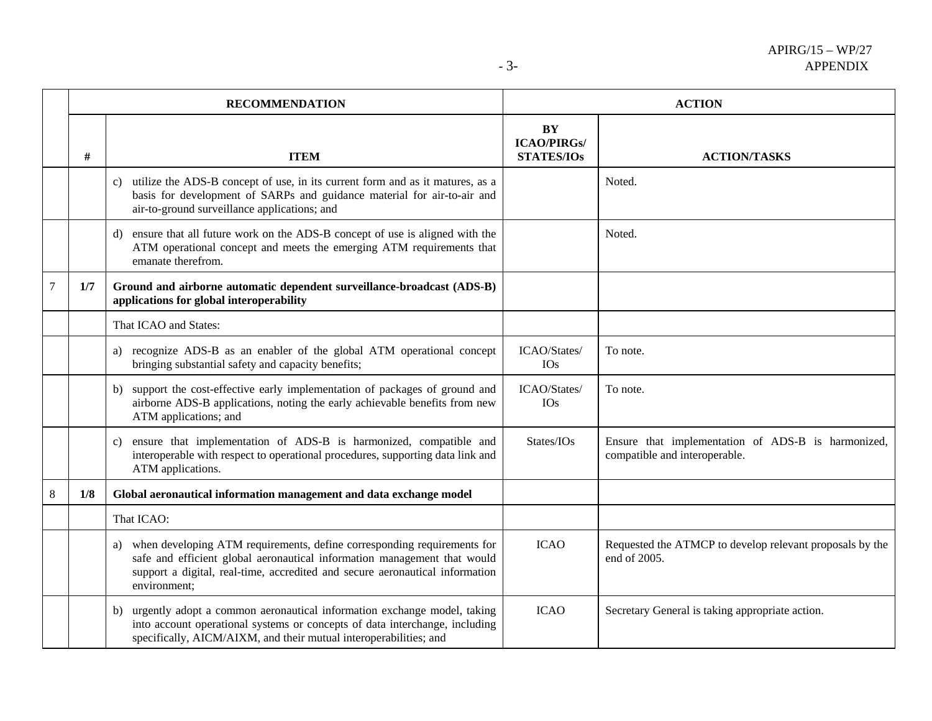|                |     | <b>RECOMMENDATION</b>                                                                                                                                                                                                                                  |                                               | <b>ACTION</b>                                                                       |
|----------------|-----|--------------------------------------------------------------------------------------------------------------------------------------------------------------------------------------------------------------------------------------------------------|-----------------------------------------------|-------------------------------------------------------------------------------------|
|                | #   | <b>ITEM</b>                                                                                                                                                                                                                                            | BY<br><b>ICAO/PIRGs/</b><br><b>STATES/IOs</b> | <b>ACTION/TASKS</b>                                                                 |
|                |     | c) utilize the ADS-B concept of use, in its current form and as it matures, as a<br>basis for development of SARPs and guidance material for air-to-air and<br>air-to-ground surveillance applications; and                                            |                                               | Noted.                                                                              |
|                |     | ensure that all future work on the ADS-B concept of use is aligned with the<br>d)<br>ATM operational concept and meets the emerging ATM requirements that<br>emanate therefrom.                                                                        |                                               | Noted.                                                                              |
| $\overline{7}$ | 1/7 | Ground and airborne automatic dependent surveillance-broadcast (ADS-B)<br>applications for global interoperability                                                                                                                                     |                                               |                                                                                     |
|                |     | That ICAO and States:                                                                                                                                                                                                                                  |                                               |                                                                                     |
|                |     | a) recognize ADS-B as an enabler of the global ATM operational concept<br>bringing substantial safety and capacity benefits;                                                                                                                           | ICAO/States/<br><b>IOs</b>                    | To note.                                                                            |
|                |     | b) support the cost-effective early implementation of packages of ground and<br>airborne ADS-B applications, noting the early achievable benefits from new<br>ATM applications; and                                                                    | ICAO/States/<br><b>IOs</b>                    | To note.                                                                            |
|                |     | ensure that implementation of ADS-B is harmonized, compatible and<br>c)<br>interoperable with respect to operational procedures, supporting data link and<br>ATM applications.                                                                         | States/IOs                                    | Ensure that implementation of ADS-B is harmonized,<br>compatible and interoperable. |
| 8              | 1/8 | Global aeronautical information management and data exchange model                                                                                                                                                                                     |                                               |                                                                                     |
|                |     | That ICAO:                                                                                                                                                                                                                                             |                                               |                                                                                     |
|                |     | a) when developing ATM requirements, define corresponding requirements for<br>safe and efficient global aeronautical information management that would<br>support a digital, real-time, accredited and secure aeronautical information<br>environment; | <b>ICAO</b>                                   | Requested the ATMCP to develop relevant proposals by the<br>end of 2005.            |
|                |     | urgently adopt a common aeronautical information exchange model, taking<br>b)<br>into account operational systems or concepts of data interchange, including<br>specifically, AICM/AIXM, and their mutual interoperabilities; and                      | <b>ICAO</b>                                   | Secretary General is taking appropriate action.                                     |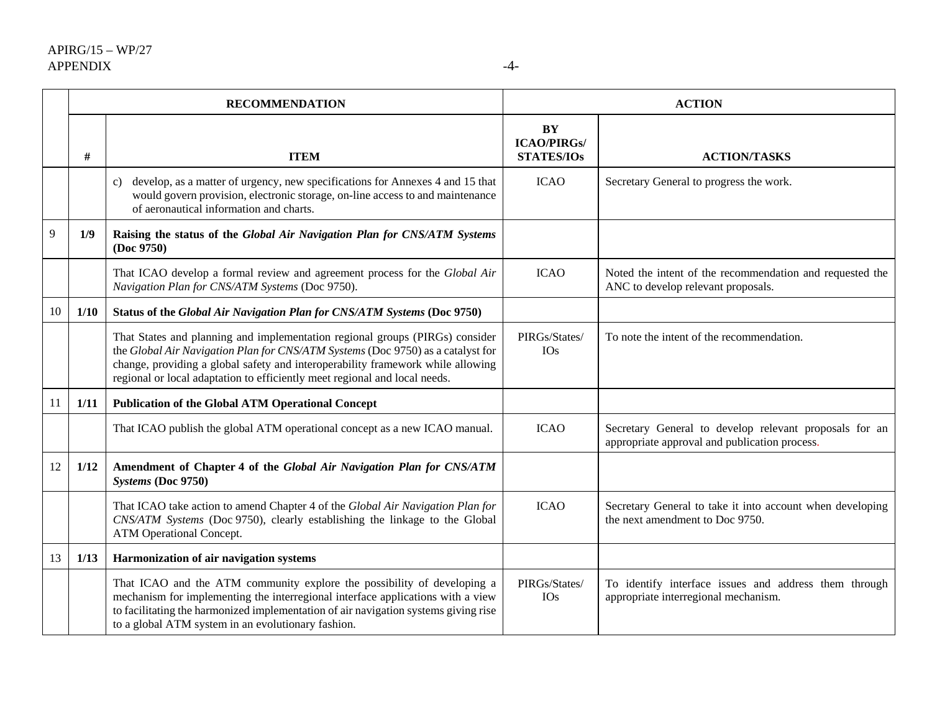|    | <b>RECOMMENDATION</b> |                                                                                                                                                                                                                                                                                                                                  |                                                      | <b>ACTION</b>                                                                                           |
|----|-----------------------|----------------------------------------------------------------------------------------------------------------------------------------------------------------------------------------------------------------------------------------------------------------------------------------------------------------------------------|------------------------------------------------------|---------------------------------------------------------------------------------------------------------|
|    | #                     | <b>ITEM</b>                                                                                                                                                                                                                                                                                                                      | <b>BY</b><br><b>ICAO/PIRGs/</b><br><b>STATES/IOs</b> | <b>ACTION/TASKS</b>                                                                                     |
|    |                       | develop, as a matter of urgency, new specifications for Annexes 4 and 15 that<br>C)<br>would govern provision, electronic storage, on-line access to and maintenance<br>of aeronautical information and charts.                                                                                                                  | <b>ICAO</b>                                          | Secretary General to progress the work.                                                                 |
| 9  | 1/9                   | Raising the status of the Global Air Navigation Plan for CNS/ATM Systems<br>(Doc 9750)                                                                                                                                                                                                                                           |                                                      |                                                                                                         |
|    |                       | That ICAO develop a formal review and agreement process for the Global Air<br>Navigation Plan for CNS/ATM Systems (Doc 9750).                                                                                                                                                                                                    | <b>ICAO</b>                                          | Noted the intent of the recommendation and requested the<br>ANC to develop relevant proposals.          |
| 10 | 1/10                  | Status of the Global Air Navigation Plan for CNS/ATM Systems (Doc 9750)                                                                                                                                                                                                                                                          |                                                      |                                                                                                         |
|    |                       | That States and planning and implementation regional groups (PIRGs) consider<br>the Global Air Navigation Plan for CNS/ATM Systems (Doc 9750) as a catalyst for<br>change, providing a global safety and interoperability framework while allowing<br>regional or local adaptation to efficiently meet regional and local needs. | PIRGs/States/<br><b>IOs</b>                          | To note the intent of the recommendation.                                                               |
| 11 | 1/11                  | <b>Publication of the Global ATM Operational Concept</b>                                                                                                                                                                                                                                                                         |                                                      |                                                                                                         |
|    |                       | That ICAO publish the global ATM operational concept as a new ICAO manual.                                                                                                                                                                                                                                                       | <b>ICAO</b>                                          | Secretary General to develop relevant proposals for an<br>appropriate approval and publication process. |
| 12 | 1/12                  | Amendment of Chapter 4 of the Global Air Navigation Plan for CNS/ATM<br>Systems (Doc 9750)                                                                                                                                                                                                                                       |                                                      |                                                                                                         |
|    |                       | That ICAO take action to amend Chapter 4 of the Global Air Navigation Plan for<br>CNS/ATM Systems (Doc 9750), clearly establishing the linkage to the Global<br>ATM Operational Concept.                                                                                                                                         | <b>ICAO</b>                                          | Secretary General to take it into account when developing<br>the next amendment to Doc 9750.            |
| 13 | 1/13                  | Harmonization of air navigation systems                                                                                                                                                                                                                                                                                          |                                                      |                                                                                                         |
|    |                       | That ICAO and the ATM community explore the possibility of developing a<br>mechanism for implementing the interregional interface applications with a view<br>to facilitating the harmonized implementation of air navigation systems giving rise<br>to a global ATM system in an evolutionary fashion.                          | PIRGs/States/<br><b>IOs</b>                          | To identify interface issues and address them through<br>appropriate interregional mechanism.           |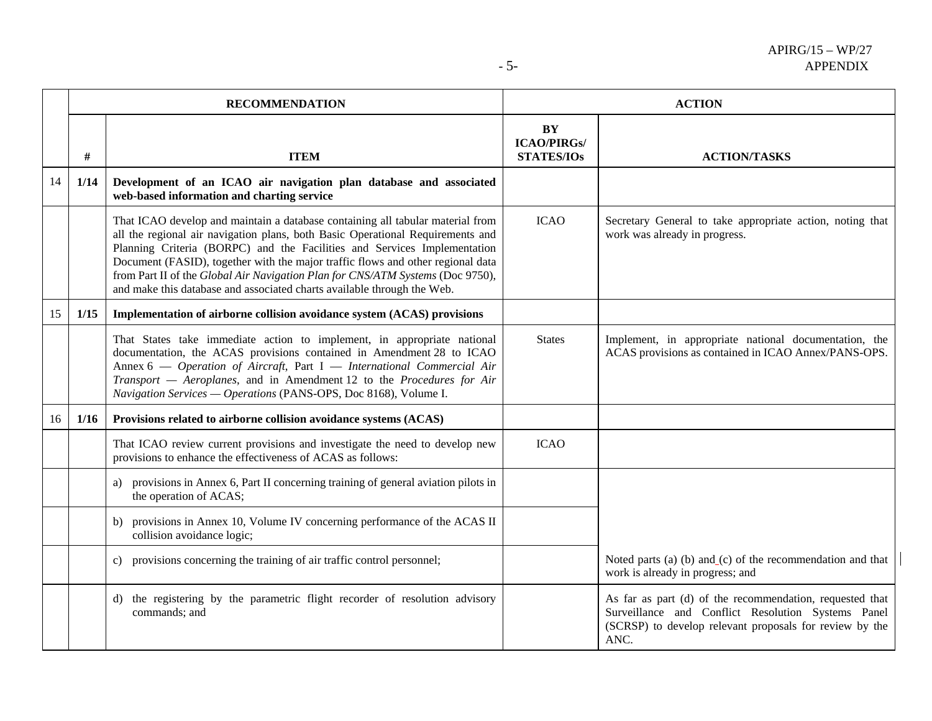|    |      | <b>RECOMMENDATION</b>                                                                                                                                                                                                                                                                                                                                                                                                                                                                        |                                               | <b>ACTION</b>                                                                                                                                                                     |
|----|------|----------------------------------------------------------------------------------------------------------------------------------------------------------------------------------------------------------------------------------------------------------------------------------------------------------------------------------------------------------------------------------------------------------------------------------------------------------------------------------------------|-----------------------------------------------|-----------------------------------------------------------------------------------------------------------------------------------------------------------------------------------|
|    | $\#$ | <b>ITEM</b>                                                                                                                                                                                                                                                                                                                                                                                                                                                                                  | BY<br><b>ICAO/PIRGs/</b><br><b>STATES/IOs</b> | <b>ACTION/TASKS</b>                                                                                                                                                               |
| 14 | 1/14 | Development of an ICAO air navigation plan database and associated<br>web-based information and charting service                                                                                                                                                                                                                                                                                                                                                                             |                                               |                                                                                                                                                                                   |
|    |      | That ICAO develop and maintain a database containing all tabular material from<br>all the regional air navigation plans, both Basic Operational Requirements and<br>Planning Criteria (BORPC) and the Facilities and Services Implementation<br>Document (FASID), together with the major traffic flows and other regional data<br>from Part II of the Global Air Navigation Plan for CNS/ATM Systems (Doc 9750),<br>and make this database and associated charts available through the Web. | <b>ICAO</b>                                   | Secretary General to take appropriate action, noting that<br>work was already in progress.                                                                                        |
| 15 | 1/15 | Implementation of airborne collision avoidance system (ACAS) provisions                                                                                                                                                                                                                                                                                                                                                                                                                      |                                               |                                                                                                                                                                                   |
|    |      | That States take immediate action to implement, in appropriate national<br>documentation, the ACAS provisions contained in Amendment 28 to ICAO<br>Annex 6 - Operation of Aircraft, Part I - International Commercial Air<br>Transport - Aeroplanes, and in Amendment 12 to the Procedures for Air<br>Navigation Services - Operations (PANS-OPS, Doc 8168), Volume I.                                                                                                                       | <b>States</b>                                 | Implement, in appropriate national documentation, the<br>ACAS provisions as contained in ICAO Annex/PANS-OPS.                                                                     |
| 16 | 1/16 | Provisions related to airborne collision avoidance systems (ACAS)                                                                                                                                                                                                                                                                                                                                                                                                                            |                                               |                                                                                                                                                                                   |
|    |      | That ICAO review current provisions and investigate the need to develop new<br>provisions to enhance the effectiveness of ACAS as follows:                                                                                                                                                                                                                                                                                                                                                   | <b>ICAO</b>                                   |                                                                                                                                                                                   |
|    |      | a) provisions in Annex 6, Part II concerning training of general aviation pilots in<br>the operation of ACAS;                                                                                                                                                                                                                                                                                                                                                                                |                                               |                                                                                                                                                                                   |
|    |      | b) provisions in Annex 10, Volume IV concerning performance of the ACAS II<br>collision avoidance logic;                                                                                                                                                                                                                                                                                                                                                                                     |                                               |                                                                                                                                                                                   |
|    |      | c) provisions concerning the training of air traffic control personnel;                                                                                                                                                                                                                                                                                                                                                                                                                      |                                               | Noted parts (a) (b) and $(c)$ of the recommendation and that<br>work is already in progress; and                                                                                  |
|    |      | the registering by the parametric flight recorder of resolution advisory<br>d)<br>commands; and                                                                                                                                                                                                                                                                                                                                                                                              |                                               | As far as part (d) of the recommendation, requested that<br>Surveillance and Conflict Resolution Systems Panel<br>(SCRSP) to develop relevant proposals for review by the<br>ANC. |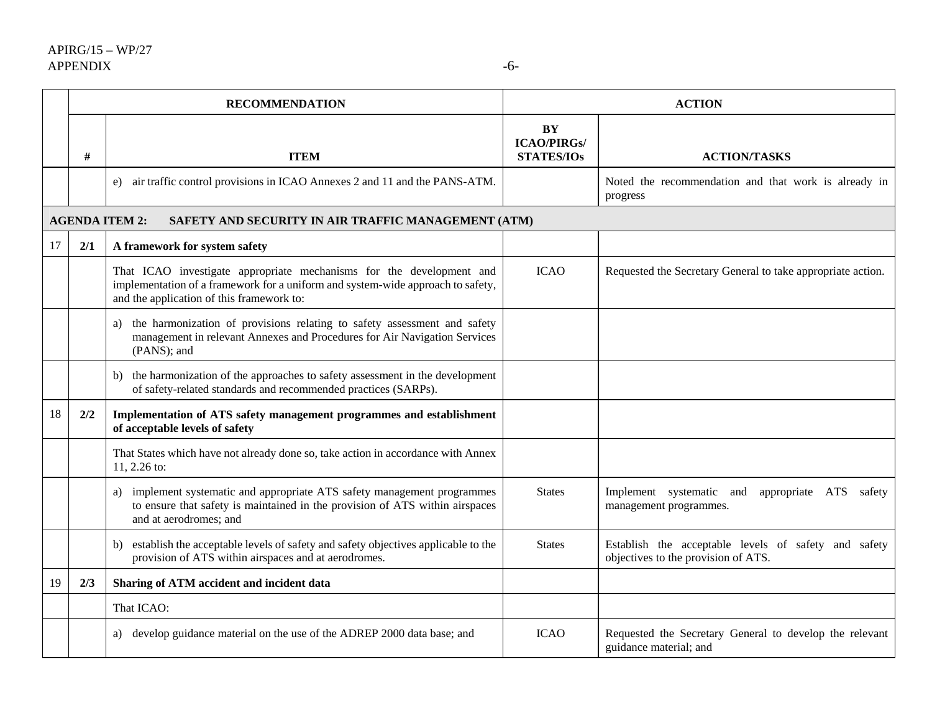|                                            | <b>RECOMMENDATION</b> |                                                                                                                                                                                                      |                                                      | <b>ACTION</b>                                                                               |
|--------------------------------------------|-----------------------|------------------------------------------------------------------------------------------------------------------------------------------------------------------------------------------------------|------------------------------------------------------|---------------------------------------------------------------------------------------------|
|                                            | $\#$                  | <b>ITEM</b>                                                                                                                                                                                          | <b>BY</b><br><b>ICAO/PIRGs/</b><br><b>STATES/IOs</b> | <b>ACTION/TASKS</b>                                                                         |
|                                            |                       | e) air traffic control provisions in ICAO Annexes 2 and 11 and the PANS-ATM.                                                                                                                         |                                                      | Noted the recommendation and that work is already in<br>progress                            |
|                                            |                       | <b>AGENDA ITEM 2:</b><br>SAFETY AND SECURITY IN AIR TRAFFIC MANAGEMENT (ATM)                                                                                                                         |                                                      |                                                                                             |
| 17<br>2/1<br>A framework for system safety |                       |                                                                                                                                                                                                      |                                                      |                                                                                             |
|                                            |                       | That ICAO investigate appropriate mechanisms for the development and<br>implementation of a framework for a uniform and system-wide approach to safety,<br>and the application of this framework to: | <b>ICAO</b>                                          | Requested the Secretary General to take appropriate action.                                 |
|                                            |                       | the harmonization of provisions relating to safety assessment and safety<br>a)<br>management in relevant Annexes and Procedures for Air Navigation Services<br>(PANS); and                           |                                                      |                                                                                             |
|                                            |                       | the harmonization of the approaches to safety assessment in the development<br>b)<br>of safety-related standards and recommended practices (SARPs).                                                  |                                                      |                                                                                             |
| 18                                         | 2/2                   | Implementation of ATS safety management programmes and establishment<br>of acceptable levels of safety                                                                                               |                                                      |                                                                                             |
|                                            |                       | That States which have not already done so, take action in accordance with Annex<br>11, 2.26 to:                                                                                                     |                                                      |                                                                                             |
|                                            |                       | implement systematic and appropriate ATS safety management programmes<br>a)<br>to ensure that safety is maintained in the provision of ATS within airspaces<br>and at aerodromes; and                | <b>States</b>                                        | Implement systematic<br>appropriate ATS<br>and<br>safety<br>management programmes.          |
|                                            |                       | establish the acceptable levels of safety and safety objectives applicable to the<br>b)<br>provision of ATS within airspaces and at aerodromes.                                                      | <b>States</b>                                        | Establish the acceptable levels of safety and safety<br>objectives to the provision of ATS. |
| 19                                         | 2/3                   | Sharing of ATM accident and incident data                                                                                                                                                            |                                                      |                                                                                             |
|                                            |                       | That ICAO:                                                                                                                                                                                           |                                                      |                                                                                             |
|                                            |                       | a) develop guidance material on the use of the ADREP 2000 data base; and                                                                                                                             | <b>ICAO</b>                                          | Requested the Secretary General to develop the relevant<br>guidance material; and           |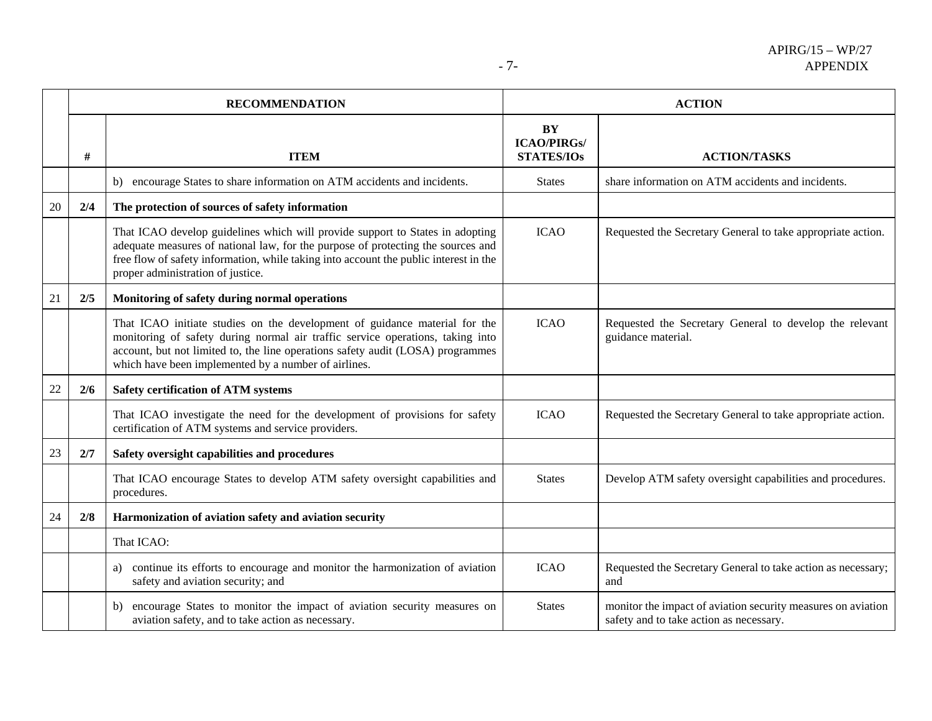|      | <b>RECOMMENDATION</b>                                                                                                                                                                                                                                                                                   |                                                      | <b>ACTION</b>                                                                                           |  |
|------|---------------------------------------------------------------------------------------------------------------------------------------------------------------------------------------------------------------------------------------------------------------------------------------------------------|------------------------------------------------------|---------------------------------------------------------------------------------------------------------|--|
| $\#$ | <b>ITEM</b>                                                                                                                                                                                                                                                                                             | <b>BY</b><br><b>ICAO/PIRGs/</b><br><b>STATES/IOs</b> | <b>ACTION/TASKS</b>                                                                                     |  |
|      | b) encourage States to share information on ATM accidents and incidents.                                                                                                                                                                                                                                | <b>States</b>                                        | share information on ATM accidents and incidents.                                                       |  |
| 2/4  | The protection of sources of safety information                                                                                                                                                                                                                                                         |                                                      |                                                                                                         |  |
|      | That ICAO develop guidelines which will provide support to States in adopting<br>adequate measures of national law, for the purpose of protecting the sources and<br>free flow of safety information, while taking into account the public interest in the<br>proper administration of justice.         | <b>ICAO</b>                                          | Requested the Secretary General to take appropriate action.                                             |  |
| 2/5  | Monitoring of safety during normal operations                                                                                                                                                                                                                                                           |                                                      |                                                                                                         |  |
|      | That ICAO initiate studies on the development of guidance material for the<br>monitoring of safety during normal air traffic service operations, taking into<br>account, but not limited to, the line operations safety audit (LOSA) programmes<br>which have been implemented by a number of airlines. | <b>ICAO</b>                                          | Requested the Secretary General to develop the relevant<br>guidance material.                           |  |
| 2/6  | <b>Safety certification of ATM systems</b>                                                                                                                                                                                                                                                              |                                                      |                                                                                                         |  |
|      | That ICAO investigate the need for the development of provisions for safety<br>certification of ATM systems and service providers.                                                                                                                                                                      | <b>ICAO</b>                                          | Requested the Secretary General to take appropriate action.                                             |  |
| 2/7  | Safety oversight capabilities and procedures                                                                                                                                                                                                                                                            |                                                      |                                                                                                         |  |
|      | That ICAO encourage States to develop ATM safety oversight capabilities and<br>procedures.                                                                                                                                                                                                              | <b>States</b>                                        | Develop ATM safety oversight capabilities and procedures.                                               |  |
| 2/8  | Harmonization of aviation safety and aviation security                                                                                                                                                                                                                                                  |                                                      |                                                                                                         |  |
|      | That ICAO:                                                                                                                                                                                                                                                                                              |                                                      |                                                                                                         |  |
|      | continue its efforts to encourage and monitor the harmonization of aviation<br>a)<br>safety and aviation security; and                                                                                                                                                                                  | <b>ICAO</b>                                          | Requested the Secretary General to take action as necessary;<br>and                                     |  |
|      | encourage States to monitor the impact of aviation security measures on<br>b)<br>aviation safety, and to take action as necessary.                                                                                                                                                                      | <b>States</b>                                        | monitor the impact of aviation security measures on aviation<br>safety and to take action as necessary. |  |
|      |                                                                                                                                                                                                                                                                                                         |                                                      |                                                                                                         |  |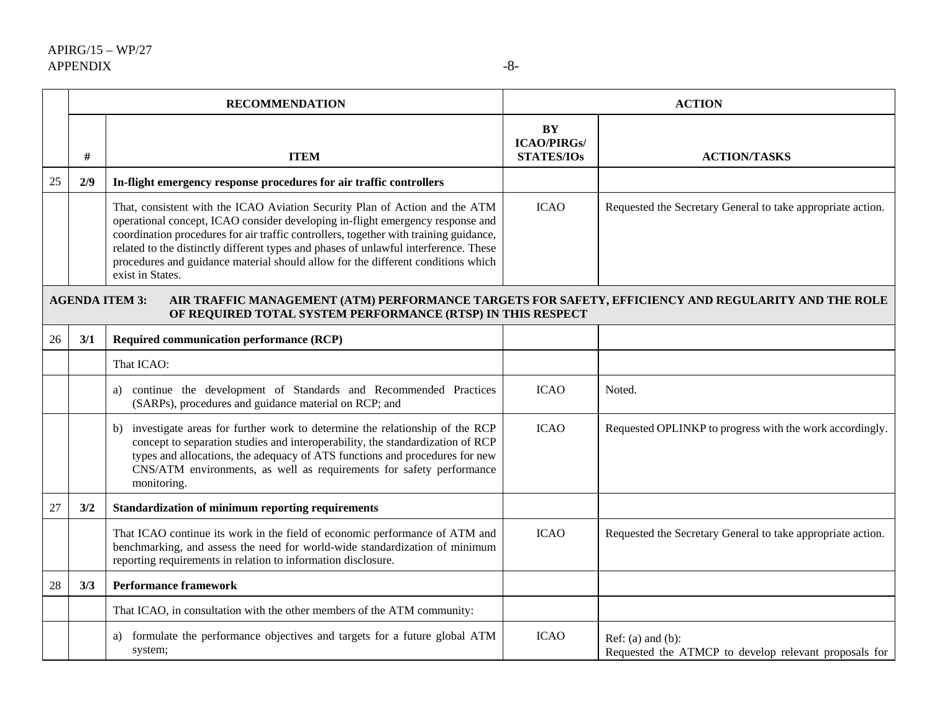|    |      | <b>RECOMMENDATION</b>                                                                                                                                                                                                                                                                                                                                                                                                                                  |                                               | <b>ACTION</b>                                                                   |
|----|------|--------------------------------------------------------------------------------------------------------------------------------------------------------------------------------------------------------------------------------------------------------------------------------------------------------------------------------------------------------------------------------------------------------------------------------------------------------|-----------------------------------------------|---------------------------------------------------------------------------------|
|    | $\#$ | <b>ITEM</b>                                                                                                                                                                                                                                                                                                                                                                                                                                            | BY<br><b>ICAO/PIRGs/</b><br><b>STATES/IOs</b> | <b>ACTION/TASKS</b>                                                             |
| 25 | 2/9  | In-flight emergency response procedures for air traffic controllers                                                                                                                                                                                                                                                                                                                                                                                    |                                               |                                                                                 |
|    |      | That, consistent with the ICAO Aviation Security Plan of Action and the ATM<br>operational concept, ICAO consider developing in-flight emergency response and<br>coordination procedures for air traffic controllers, together with training guidance,<br>related to the distinctly different types and phases of unlawful interference. These<br>procedures and guidance material should allow for the different conditions which<br>exist in States. | <b>ICAO</b>                                   | Requested the Secretary General to take appropriate action.                     |
|    |      | AIR TRAFFIC MANAGEMENT (ATM) PERFORMANCE TARGETS FOR SAFETY, EFFICIENCY AND REGULARITY AND THE ROLE<br><b>AGENDA ITEM 3:</b><br>OF REQUIRED TOTAL SYSTEM PERFORMANCE (RTSP) IN THIS RESPECT                                                                                                                                                                                                                                                            |                                               |                                                                                 |
| 26 | 3/1  | Required communication performance (RCP)                                                                                                                                                                                                                                                                                                                                                                                                               |                                               |                                                                                 |
|    |      | That ICAO:                                                                                                                                                                                                                                                                                                                                                                                                                                             |                                               |                                                                                 |
|    |      | a) continue the development of Standards and Recommended Practices<br>(SARPs), procedures and guidance material on RCP; and                                                                                                                                                                                                                                                                                                                            | <b>ICAO</b>                                   | Noted.                                                                          |
|    |      | b) investigate areas for further work to determine the relationship of the RCP<br>concept to separation studies and interoperability, the standardization of RCP<br>types and allocations, the adequacy of ATS functions and procedures for new<br>CNS/ATM environments, as well as requirements for safety performance<br>monitoring.                                                                                                                 | <b>ICAO</b>                                   | Requested OPLINKP to progress with the work accordingly.                        |
| 27 | 3/2  | Standardization of minimum reporting requirements                                                                                                                                                                                                                                                                                                                                                                                                      |                                               |                                                                                 |
|    |      | That ICAO continue its work in the field of economic performance of ATM and<br>benchmarking, and assess the need for world-wide standardization of minimum<br>reporting requirements in relation to information disclosure.                                                                                                                                                                                                                            | <b>ICAO</b>                                   | Requested the Secretary General to take appropriate action.                     |
| 28 | 3/3  | <b>Performance framework</b>                                                                                                                                                                                                                                                                                                                                                                                                                           |                                               |                                                                                 |
|    |      | That ICAO, in consultation with the other members of the ATM community:                                                                                                                                                                                                                                                                                                                                                                                |                                               |                                                                                 |
|    |      | a) formulate the performance objectives and targets for a future global ATM<br>system;                                                                                                                                                                                                                                                                                                                                                                 | <b>ICAO</b>                                   | Ref: $(a)$ and $(b)$ :<br>Requested the ATMCP to develop relevant proposals for |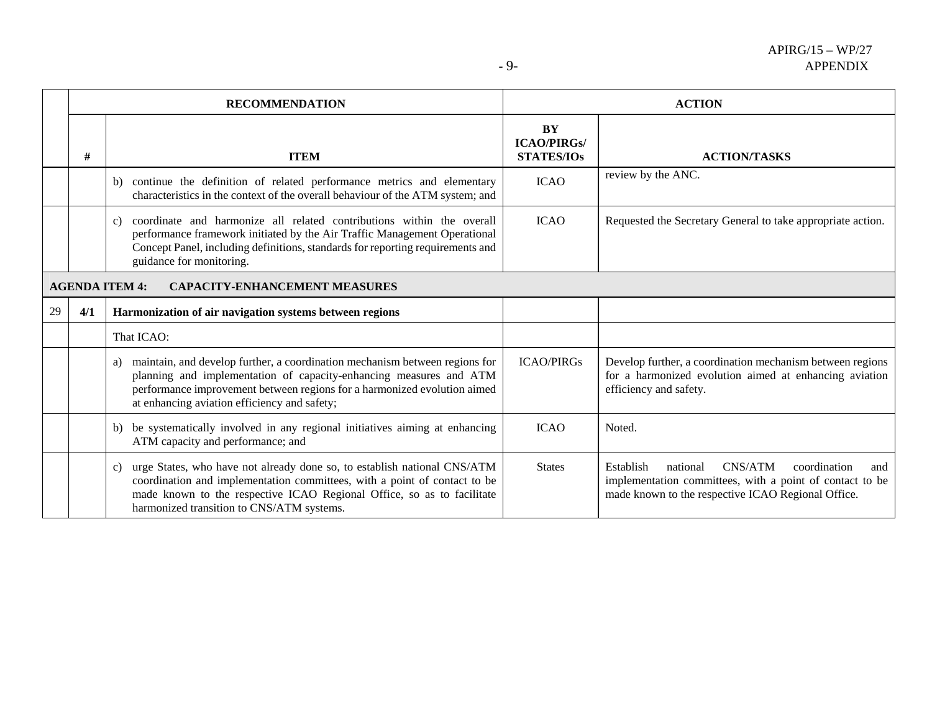|                                                               |     | <b>RECOMMENDATION</b>                                                                                                                                                                                                                                                                        |                                               | <b>ACTION</b>                                                                                                                                                             |
|---------------------------------------------------------------|-----|----------------------------------------------------------------------------------------------------------------------------------------------------------------------------------------------------------------------------------------------------------------------------------------------|-----------------------------------------------|---------------------------------------------------------------------------------------------------------------------------------------------------------------------------|
|                                                               | #   | <b>ITEM</b>                                                                                                                                                                                                                                                                                  | BY<br><b>ICAO/PIRGs/</b><br><b>STATES/IOs</b> | <b>ACTION/TASKS</b>                                                                                                                                                       |
|                                                               |     | continue the definition of related performance metrics and elementary<br>b)<br>characteristics in the context of the overall behaviour of the ATM system; and                                                                                                                                | <b>ICAO</b>                                   | review by the ANC.                                                                                                                                                        |
|                                                               |     | coordinate and harmonize all related contributions within the overall<br>c)<br>performance framework initiated by the Air Traffic Management Operational<br>Concept Panel, including definitions, standards for reporting requirements and<br>guidance for monitoring.                       | <b>ICAO</b>                                   | Requested the Secretary General to take appropriate action.                                                                                                               |
| <b>AGENDA ITEM 4:</b><br><b>CAPACITY-ENHANCEMENT MEASURES</b> |     |                                                                                                                                                                                                                                                                                              |                                               |                                                                                                                                                                           |
| 29                                                            | 4/1 | Harmonization of air navigation systems between regions                                                                                                                                                                                                                                      |                                               |                                                                                                                                                                           |
|                                                               |     | That ICAO:                                                                                                                                                                                                                                                                                   |                                               |                                                                                                                                                                           |
|                                                               |     | maintain, and develop further, a coordination mechanism between regions for<br>a)<br>planning and implementation of capacity-enhancing measures and ATM<br>performance improvement between regions for a harmonized evolution aimed<br>at enhancing aviation efficiency and safety;          | <b>ICAO/PIRGs</b>                             | Develop further, a coordination mechanism between regions<br>for a harmonized evolution aimed at enhancing aviation<br>efficiency and safety.                             |
|                                                               |     | be systematically involved in any regional initiatives aiming at enhancing<br>b)<br>ATM capacity and performance; and                                                                                                                                                                        | <b>ICAO</b>                                   | Noted.                                                                                                                                                                    |
|                                                               |     | urge States, who have not already done so, to establish national CNS/ATM<br>$\mathbf{c}$<br>coordination and implementation committees, with a point of contact to be<br>made known to the respective ICAO Regional Office, so as to facilitate<br>harmonized transition to CNS/ATM systems. | <b>States</b>                                 | CNS/ATM<br>Establish<br>national<br>coordination<br>and<br>implementation committees, with a point of contact to be<br>made known to the respective ICAO Regional Office. |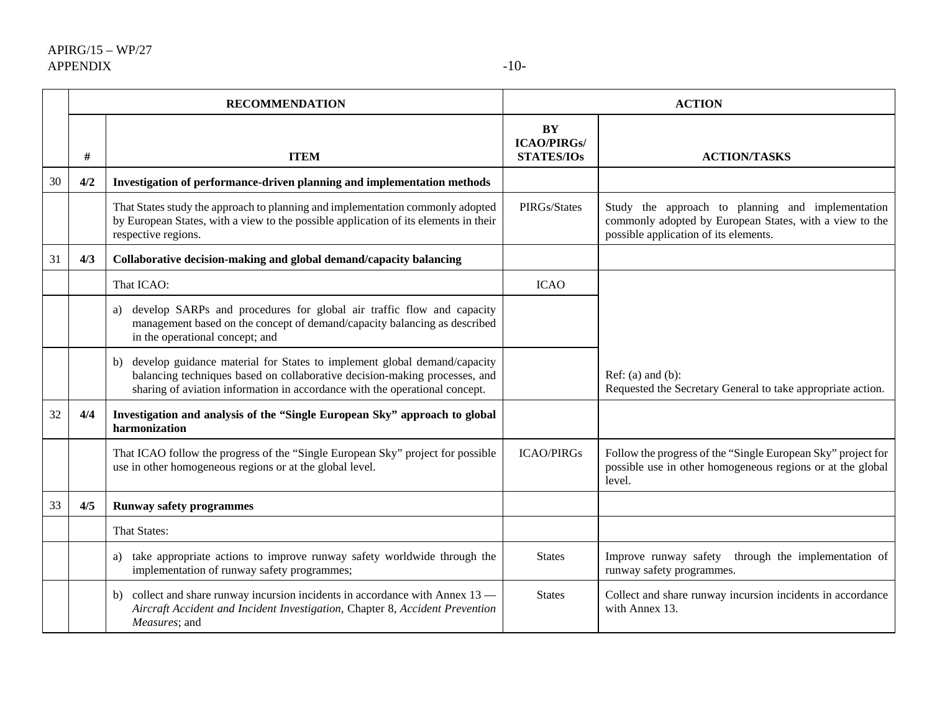|    | <b>RECOMMENDATION</b> |                                                                                                                                                                                                                                             |                                               | <b>ACTION</b>                                                                                                                                         |
|----|-----------------------|---------------------------------------------------------------------------------------------------------------------------------------------------------------------------------------------------------------------------------------------|-----------------------------------------------|-------------------------------------------------------------------------------------------------------------------------------------------------------|
|    | #                     | <b>ITEM</b>                                                                                                                                                                                                                                 | BY<br><b>ICAO/PIRGs/</b><br><b>STATES/IOs</b> | <b>ACTION/TASKS</b>                                                                                                                                   |
| 30 | 4/2                   | Investigation of performance-driven planning and implementation methods                                                                                                                                                                     |                                               |                                                                                                                                                       |
|    |                       | That States study the approach to planning and implementation commonly adopted<br>by European States, with a view to the possible application of its elements in their<br>respective regions.                                               | PIRGs/States                                  | Study the approach to planning and implementation<br>commonly adopted by European States, with a view to the<br>possible application of its elements. |
| 31 | 4/3                   | Collaborative decision-making and global demand/capacity balancing                                                                                                                                                                          |                                               |                                                                                                                                                       |
|    |                       | That ICAO:                                                                                                                                                                                                                                  | <b>ICAO</b>                                   |                                                                                                                                                       |
|    |                       | a) develop SARPs and procedures for global air traffic flow and capacity<br>management based on the concept of demand/capacity balancing as described<br>in the operational concept; and                                                    |                                               |                                                                                                                                                       |
|    |                       | develop guidance material for States to implement global demand/capacity<br>b)<br>balancing techniques based on collaborative decision-making processes, and<br>sharing of aviation information in accordance with the operational concept. |                                               | $Ref: (a)$ and $(b):$<br>Requested the Secretary General to take appropriate action.                                                                  |
| 32 | 4/4                   | Investigation and analysis of the "Single European Sky" approach to global<br>harmonization                                                                                                                                                 |                                               |                                                                                                                                                       |
|    |                       | That ICAO follow the progress of the "Single European Sky" project for possible<br>use in other homogeneous regions or at the global level.                                                                                                 | <b>ICAO/PIRGs</b>                             | Follow the progress of the "Single European Sky" project for<br>possible use in other homogeneous regions or at the global<br>level.                  |
| 33 | 4/5                   | <b>Runway safety programmes</b>                                                                                                                                                                                                             |                                               |                                                                                                                                                       |
|    |                       | <b>That States:</b>                                                                                                                                                                                                                         |                                               |                                                                                                                                                       |
|    |                       | a) take appropriate actions to improve runway safety worldwide through the<br>implementation of runway safety programmes;                                                                                                                   | <b>States</b>                                 | Improve runway safety through the implementation of<br>runway safety programmes.                                                                      |
|    |                       | b) collect and share runway incursion incidents in accordance with Annex 13 —<br>Aircraft Accident and Incident Investigation, Chapter 8, Accident Prevention<br>Measures; and                                                              | <b>States</b>                                 | Collect and share runway incursion incidents in accordance<br>with Annex 13.                                                                          |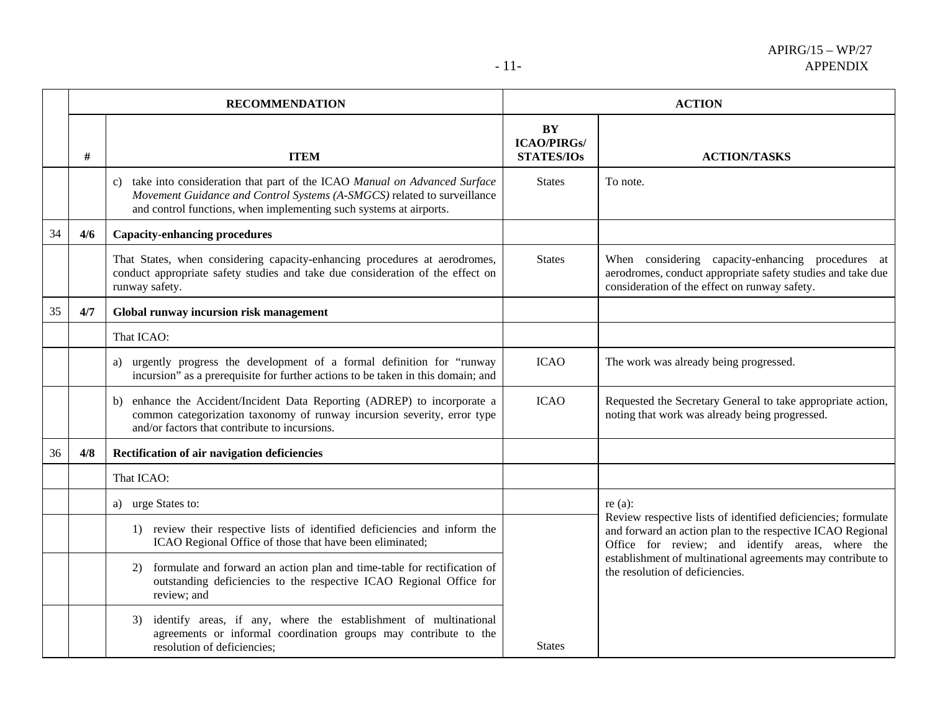|    |      | <b>RECOMMENDATION</b>                                                                                                                                                                                                        |                                                      | <b>ACTION</b>                                                                                                                                                                   |
|----|------|------------------------------------------------------------------------------------------------------------------------------------------------------------------------------------------------------------------------------|------------------------------------------------------|---------------------------------------------------------------------------------------------------------------------------------------------------------------------------------|
|    | $\#$ | <b>ITEM</b>                                                                                                                                                                                                                  | <b>BY</b><br><b>ICAO/PIRGs/</b><br><b>STATES/IOs</b> | <b>ACTION/TASKS</b>                                                                                                                                                             |
|    |      | c) take into consideration that part of the ICAO Manual on Advanced Surface<br>Movement Guidance and Control Systems (A-SMGCS) related to surveillance<br>and control functions, when implementing such systems at airports. | <b>States</b>                                        | To note.                                                                                                                                                                        |
| 34 | 4/6  | <b>Capacity-enhancing procedures</b>                                                                                                                                                                                         |                                                      |                                                                                                                                                                                 |
|    |      | That States, when considering capacity-enhancing procedures at aerodromes,<br>conduct appropriate safety studies and take due consideration of the effect on<br>runway safety.                                               | <b>States</b>                                        | When considering capacity-enhancing procedures at<br>aerodromes, conduct appropriate safety studies and take due<br>consideration of the effect on runway safety.               |
| 35 | 4/7  | Global runway incursion risk management                                                                                                                                                                                      |                                                      |                                                                                                                                                                                 |
|    |      | That ICAO:                                                                                                                                                                                                                   |                                                      |                                                                                                                                                                                 |
|    |      | urgently progress the development of a formal definition for "runway<br>a)<br>incursion" as a prerequisite for further actions to be taken in this domain; and                                                               | <b>ICAO</b>                                          | The work was already being progressed.                                                                                                                                          |
|    |      | b) enhance the Accident/Incident Data Reporting (ADREP) to incorporate a<br>common categorization taxonomy of runway incursion severity, error type<br>and/or factors that contribute to incursions.                         | <b>ICAO</b>                                          | Requested the Secretary General to take appropriate action,<br>noting that work was already being progressed.                                                                   |
| 36 | 4/8  | Rectification of air navigation deficiencies                                                                                                                                                                                 |                                                      |                                                                                                                                                                                 |
|    |      | That ICAO:                                                                                                                                                                                                                   |                                                      |                                                                                                                                                                                 |
|    |      | a) urge States to:                                                                                                                                                                                                           |                                                      | re $(a)$ :                                                                                                                                                                      |
|    |      | 1) review their respective lists of identified deficiencies and inform the<br>ICAO Regional Office of those that have been eliminated;                                                                                       |                                                      | Review respective lists of identified deficiencies; formulate<br>and forward an action plan to the respective ICAO Regional<br>Office for review; and identify areas, where the |
|    |      | formulate and forward an action plan and time-table for rectification of<br>2)<br>outstanding deficiencies to the respective ICAO Regional Office for<br>review; and                                                         |                                                      | establishment of multinational agreements may contribute to<br>the resolution of deficiencies.                                                                                  |
|    |      | identify areas, if any, where the establishment of multinational<br>3)<br>agreements or informal coordination groups may contribute to the<br>resolution of deficiencies;                                                    | <b>States</b>                                        |                                                                                                                                                                                 |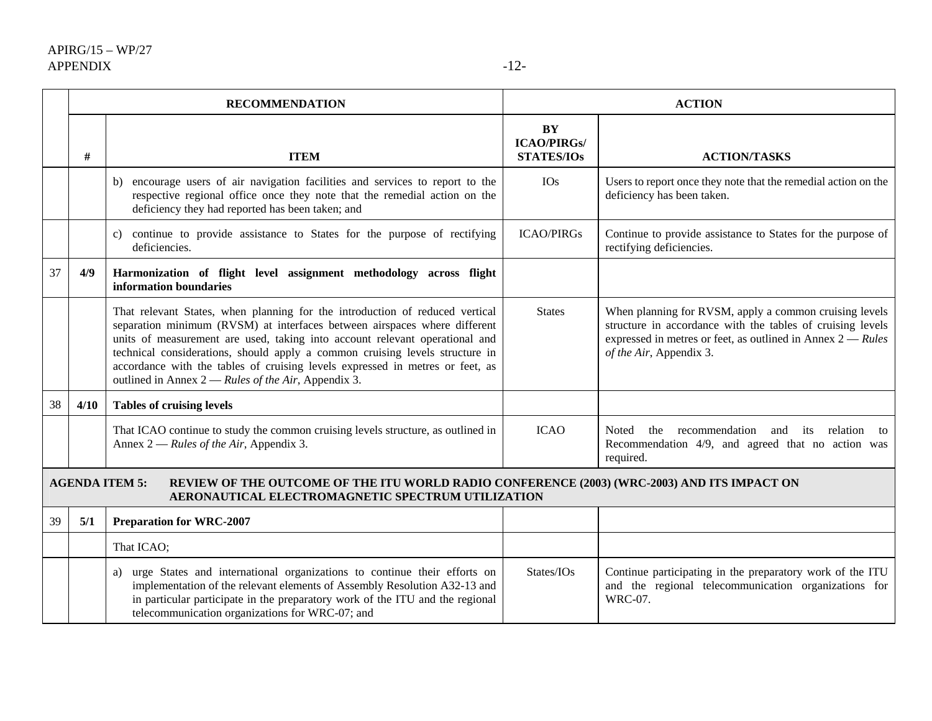|    | <b>RECOMMENDATION</b> |                                                                                                                                                                                                                                                                                                                                                                                                                                                                    |                                               | <b>ACTION</b>                                                                                                                                                                                                    |
|----|-----------------------|--------------------------------------------------------------------------------------------------------------------------------------------------------------------------------------------------------------------------------------------------------------------------------------------------------------------------------------------------------------------------------------------------------------------------------------------------------------------|-----------------------------------------------|------------------------------------------------------------------------------------------------------------------------------------------------------------------------------------------------------------------|
|    | #                     | <b>ITEM</b>                                                                                                                                                                                                                                                                                                                                                                                                                                                        | BY<br><b>ICAO/PIRGs/</b><br><b>STATES/IOs</b> | <b>ACTION/TASKS</b>                                                                                                                                                                                              |
|    |                       | encourage users of air navigation facilities and services to report to the<br>b)<br>respective regional office once they note that the remedial action on the<br>deficiency they had reported has been taken; and                                                                                                                                                                                                                                                  | <b>IOs</b>                                    | Users to report once they note that the remedial action on the<br>deficiency has been taken.                                                                                                                     |
|    |                       | continue to provide assistance to States for the purpose of rectifying<br>$\mathbf{c}$ )<br>deficiencies.                                                                                                                                                                                                                                                                                                                                                          | <b>ICAO/PIRGs</b>                             | Continue to provide assistance to States for the purpose of<br>rectifying deficiencies.                                                                                                                          |
| 37 | 4/9                   | Harmonization of flight level assignment methodology across flight<br>information boundaries                                                                                                                                                                                                                                                                                                                                                                       |                                               |                                                                                                                                                                                                                  |
|    |                       | That relevant States, when planning for the introduction of reduced vertical<br>separation minimum (RVSM) at interfaces between airspaces where different<br>units of measurement are used, taking into account relevant operational and<br>technical considerations, should apply a common cruising levels structure in<br>accordance with the tables of cruising levels expressed in metres or feet, as<br>outlined in Annex $2 - Rules$ of the Air, Appendix 3. | <b>States</b>                                 | When planning for RVSM, apply a common cruising levels<br>structure in accordance with the tables of cruising levels<br>expressed in metres or feet, as outlined in Annex $2 - Rules$<br>of the Air, Appendix 3. |
| 38 | 4/10                  | <b>Tables of cruising levels</b>                                                                                                                                                                                                                                                                                                                                                                                                                                   |                                               |                                                                                                                                                                                                                  |
|    |                       | That ICAO continue to study the common cruising levels structure, as outlined in<br>Annex $2 - Rules$ of the Air, Appendix 3.                                                                                                                                                                                                                                                                                                                                      | <b>ICAO</b>                                   | recommendation and its<br>the<br>relation<br>Noted<br>to<br>Recommendation 4/9, and agreed that no action was<br>required.                                                                                       |
|    |                       | REVIEW OF THE OUTCOME OF THE ITU WORLD RADIO CONFERENCE (2003) (WRC-2003) AND ITS IMPACT ON<br><b>AGENDA ITEM 5:</b><br>AERONAUTICAL ELECTROMAGNETIC SPECTRUM UTILIZATION                                                                                                                                                                                                                                                                                          |                                               |                                                                                                                                                                                                                  |
| 39 | 5/1                   | <b>Preparation for WRC-2007</b>                                                                                                                                                                                                                                                                                                                                                                                                                                    |                                               |                                                                                                                                                                                                                  |
|    |                       | That ICAO;                                                                                                                                                                                                                                                                                                                                                                                                                                                         |                                               |                                                                                                                                                                                                                  |
|    |                       | urge States and international organizations to continue their efforts on<br>a)<br>implementation of the relevant elements of Assembly Resolution A32-13 and<br>in particular participate in the preparatory work of the ITU and the regional<br>telecommunication organizations for WRC-07; and                                                                                                                                                                    | States/IOs                                    | Continue participating in the preparatory work of the ITU<br>and the regional telecommunication organizations for<br><b>WRC-07.</b>                                                                              |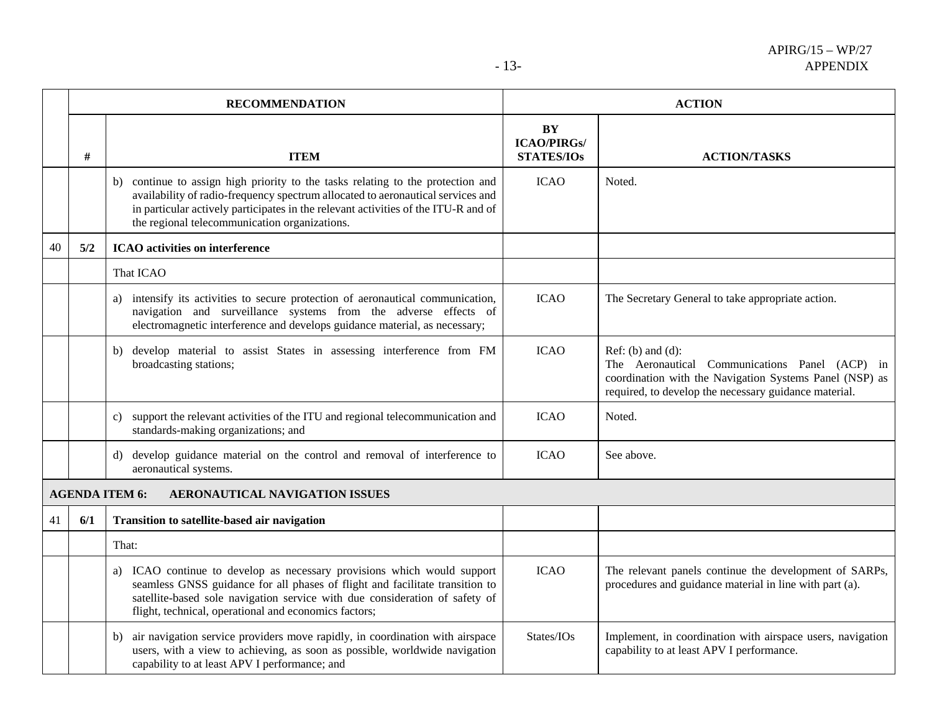|    |     | <b>RECOMMENDATION</b>                                                                                                                                                                                                                                                                                  |                                               | <b>ACTION</b>                                                                                                                                                                           |
|----|-----|--------------------------------------------------------------------------------------------------------------------------------------------------------------------------------------------------------------------------------------------------------------------------------------------------------|-----------------------------------------------|-----------------------------------------------------------------------------------------------------------------------------------------------------------------------------------------|
|    | #   | <b>ITEM</b>                                                                                                                                                                                                                                                                                            | BY<br><b>ICAO/PIRGs/</b><br><b>STATES/IOs</b> | <b>ACTION/TASKS</b>                                                                                                                                                                     |
|    |     | continue to assign high priority to the tasks relating to the protection and<br>availability of radio-frequency spectrum allocated to aeronautical services and<br>in particular actively participates in the relevant activities of the ITU-R and of<br>the regional telecommunication organizations. | <b>ICAO</b>                                   | Noted.                                                                                                                                                                                  |
| 40 | 5/2 | <b>ICAO</b> activities on interference                                                                                                                                                                                                                                                                 |                                               |                                                                                                                                                                                         |
|    |     | That ICAO                                                                                                                                                                                                                                                                                              |                                               |                                                                                                                                                                                         |
|    |     | a) intensify its activities to secure protection of aeronautical communication,<br>navigation and surveillance systems from the adverse effects of<br>electromagnetic interference and develops guidance material, as necessary;                                                                       | <b>ICAO</b>                                   | The Secretary General to take appropriate action.                                                                                                                                       |
|    |     | develop material to assist States in assessing interference from FM<br>b)<br>broadcasting stations;                                                                                                                                                                                                    | <b>ICAO</b>                                   | Ref: (b) and (d):<br>The Aeronautical Communications Panel (ACP) in<br>coordination with the Navigation Systems Panel (NSP) as<br>required, to develop the necessary guidance material. |
|    |     | support the relevant activities of the ITU and regional telecommunication and<br>c)<br>standards-making organizations; and                                                                                                                                                                             | <b>ICAO</b>                                   | Noted.                                                                                                                                                                                  |
|    |     | develop guidance material on the control and removal of interference to<br>d)<br>aeronautical systems.                                                                                                                                                                                                 | <b>ICAO</b>                                   | See above.                                                                                                                                                                              |
|    |     | <b>AGENDA ITEM 6:</b><br>AERONAUTICAL NAVIGATION ISSUES                                                                                                                                                                                                                                                |                                               |                                                                                                                                                                                         |
| 41 | 6/1 | Transition to satellite-based air navigation                                                                                                                                                                                                                                                           |                                               |                                                                                                                                                                                         |
|    |     | That:                                                                                                                                                                                                                                                                                                  |                                               |                                                                                                                                                                                         |
|    |     | a) ICAO continue to develop as necessary provisions which would support<br>seamless GNSS guidance for all phases of flight and facilitate transition to<br>satellite-based sole navigation service with due consideration of safety of<br>flight, technical, operational and economics factors;        | <b>ICAO</b>                                   | The relevant panels continue the development of SARPs,<br>procedures and guidance material in line with part (a).                                                                       |
|    |     | air navigation service providers move rapidly, in coordination with airspace<br>b)<br>users, with a view to achieving, as soon as possible, worldwide navigation<br>capability to at least APV I performance; and                                                                                      | States/IOs                                    | Implement, in coordination with airspace users, navigation<br>capability to at least APV I performance.                                                                                 |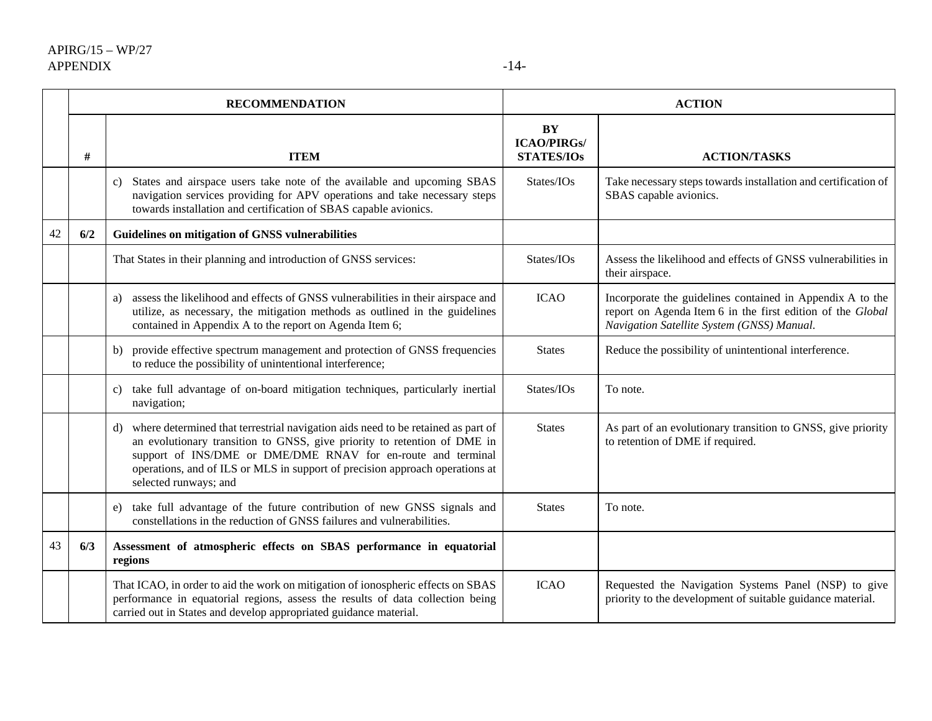|    | <b>RECOMMENDATION</b> |                                                                                                                                                                                                                                                                                                                                             | <b>ACTION</b>                                        |                                                                                                                                                                       |
|----|-----------------------|---------------------------------------------------------------------------------------------------------------------------------------------------------------------------------------------------------------------------------------------------------------------------------------------------------------------------------------------|------------------------------------------------------|-----------------------------------------------------------------------------------------------------------------------------------------------------------------------|
|    | #                     | <b>ITEM</b>                                                                                                                                                                                                                                                                                                                                 | <b>BY</b><br><b>ICAO/PIRGs/</b><br><b>STATES/IOs</b> | <b>ACTION/TASKS</b>                                                                                                                                                   |
|    |                       | States and airspace users take note of the available and upcoming SBAS<br>c)<br>navigation services providing for APV operations and take necessary steps<br>towards installation and certification of SBAS capable avionics.                                                                                                               | States/IOs                                           | Take necessary steps towards installation and certification of<br>SBAS capable avionics.                                                                              |
| 42 | 6/2                   | Guidelines on mitigation of GNSS vulnerabilities                                                                                                                                                                                                                                                                                            |                                                      |                                                                                                                                                                       |
|    |                       | That States in their planning and introduction of GNSS services:                                                                                                                                                                                                                                                                            | States/IOs                                           | Assess the likelihood and effects of GNSS vulnerabilities in<br>their airspace.                                                                                       |
|    |                       | assess the likelihood and effects of GNSS vulnerabilities in their airspace and<br>a)<br>utilize, as necessary, the mitigation methods as outlined in the guidelines<br>contained in Appendix A to the report on Agenda Item 6;                                                                                                             | <b>ICAO</b>                                          | Incorporate the guidelines contained in Appendix A to the<br>report on Agenda Item 6 in the first edition of the Global<br>Navigation Satellite System (GNSS) Manual. |
|    |                       | provide effective spectrum management and protection of GNSS frequencies<br>b)<br>to reduce the possibility of unintentional interference;                                                                                                                                                                                                  | <b>States</b>                                        | Reduce the possibility of unintentional interference.                                                                                                                 |
|    |                       | take full advantage of on-board mitigation techniques, particularly inertial<br>c)<br>navigation;                                                                                                                                                                                                                                           | States/IOs                                           | To note.                                                                                                                                                              |
|    |                       | where determined that terrestrial navigation aids need to be retained as part of<br>d)<br>an evolutionary transition to GNSS, give priority to retention of DME in<br>support of INS/DME or DME/DME RNAV for en-route and terminal<br>operations, and of ILS or MLS in support of precision approach operations at<br>selected runways; and | <b>States</b>                                        | As part of an evolutionary transition to GNSS, give priority<br>to retention of DME if required.                                                                      |
|    |                       | take full advantage of the future contribution of new GNSS signals and<br>e)<br>constellations in the reduction of GNSS failures and vulnerabilities.                                                                                                                                                                                       | <b>States</b>                                        | To note.                                                                                                                                                              |
| 43 | 6/3                   | Assessment of atmospheric effects on SBAS performance in equatorial<br>regions                                                                                                                                                                                                                                                              |                                                      |                                                                                                                                                                       |
|    |                       | That ICAO, in order to aid the work on mitigation of ionospheric effects on SBAS<br>performance in equatorial regions, assess the results of data collection being<br>carried out in States and develop appropriated guidance material.                                                                                                     | <b>ICAO</b>                                          | Requested the Navigation Systems Panel (NSP) to give<br>priority to the development of suitable guidance material.                                                    |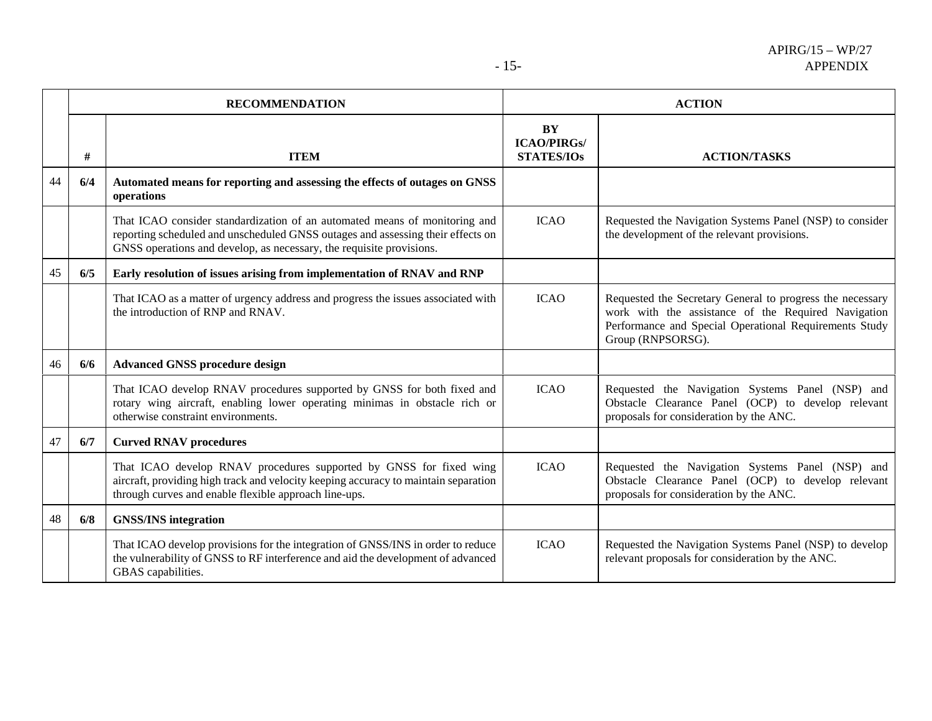|    |     | <b>RECOMMENDATION</b>                                                                                                                                                                                                                 |                                                      | <b>ACTION</b>                                                                                                                                                                                   |  |
|----|-----|---------------------------------------------------------------------------------------------------------------------------------------------------------------------------------------------------------------------------------------|------------------------------------------------------|-------------------------------------------------------------------------------------------------------------------------------------------------------------------------------------------------|--|
|    | #   | <b>ITEM</b>                                                                                                                                                                                                                           | <b>BY</b><br><b>ICAO/PIRGs/</b><br><b>STATES/IOs</b> | <b>ACTION/TASKS</b>                                                                                                                                                                             |  |
| 44 | 6/4 | Automated means for reporting and assessing the effects of outages on GNSS<br>operations                                                                                                                                              |                                                      |                                                                                                                                                                                                 |  |
|    |     | That ICAO consider standardization of an automated means of monitoring and<br>reporting scheduled and unscheduled GNSS outages and assessing their effects on<br>GNSS operations and develop, as necessary, the requisite provisions. | <b>ICAO</b>                                          | Requested the Navigation Systems Panel (NSP) to consider<br>the development of the relevant provisions.                                                                                         |  |
| 45 | 6/5 | Early resolution of issues arising from implementation of RNAV and RNP                                                                                                                                                                |                                                      |                                                                                                                                                                                                 |  |
|    |     | That ICAO as a matter of urgency address and progress the issues associated with<br>the introduction of RNP and RNAV.                                                                                                                 | <b>ICAO</b>                                          | Requested the Secretary General to progress the necessary<br>work with the assistance of the Required Navigation<br>Performance and Special Operational Requirements Study<br>Group (RNPSORSG). |  |
| 46 | 6/6 | <b>Advanced GNSS procedure design</b>                                                                                                                                                                                                 |                                                      |                                                                                                                                                                                                 |  |
|    |     | That ICAO develop RNAV procedures supported by GNSS for both fixed and<br>rotary wing aircraft, enabling lower operating minimas in obstacle rich or<br>otherwise constraint environments.                                            | <b>ICAO</b>                                          | Requested the Navigation Systems Panel (NSP) and<br>Obstacle Clearance Panel (OCP) to develop relevant<br>proposals for consideration by the ANC.                                               |  |
| 47 | 6/7 | <b>Curved RNAV procedures</b>                                                                                                                                                                                                         |                                                      |                                                                                                                                                                                                 |  |
|    |     | That ICAO develop RNAV procedures supported by GNSS for fixed wing<br>aircraft, providing high track and velocity keeping accuracy to maintain separation<br>through curves and enable flexible approach line-ups.                    | <b>ICAO</b>                                          | Requested the Navigation Systems Panel (NSP) and<br>Obstacle Clearance Panel (OCP) to develop relevant<br>proposals for consideration by the ANC.                                               |  |
| 48 | 6/8 | <b>GNSS/INS</b> integration                                                                                                                                                                                                           |                                                      |                                                                                                                                                                                                 |  |
|    |     | That ICAO develop provisions for the integration of GNSS/INS in order to reduce<br>the vulnerability of GNSS to RF interference and aid the development of advanced<br>GBAS capabilities.                                             | <b>ICAO</b>                                          | Requested the Navigation Systems Panel (NSP) to develop<br>relevant proposals for consideration by the ANC.                                                                                     |  |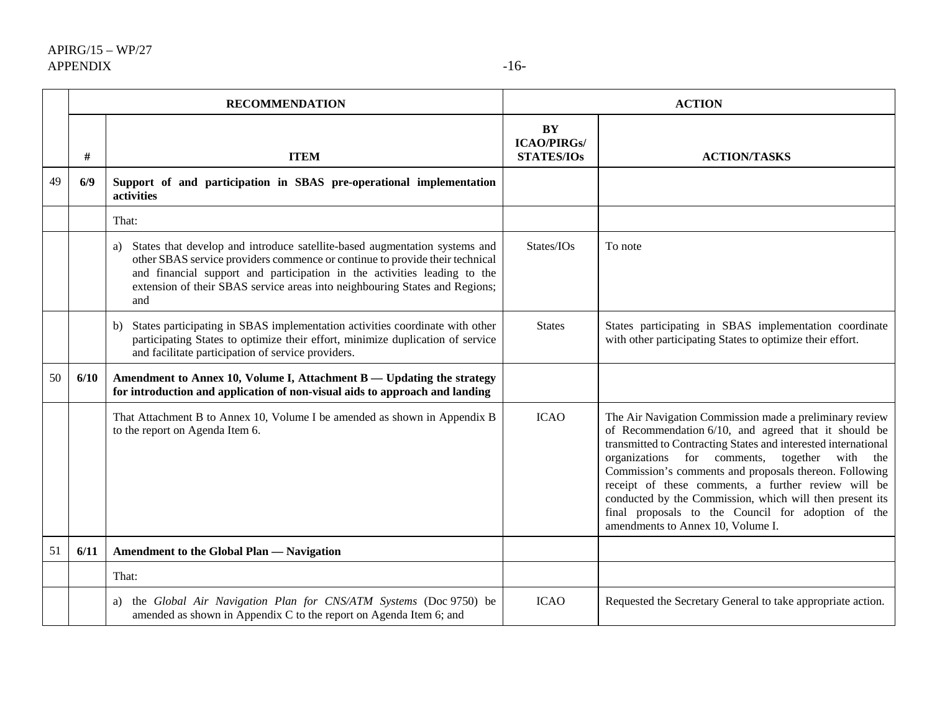|    | <b>RECOMMENDATION</b> |                                                                                                                                                                                                                                                                                                                                    | <b>ACTION</b>                                 |                                                                                                                                                                                                                                                                                                                                                                                                                                                                                                            |
|----|-----------------------|------------------------------------------------------------------------------------------------------------------------------------------------------------------------------------------------------------------------------------------------------------------------------------------------------------------------------------|-----------------------------------------------|------------------------------------------------------------------------------------------------------------------------------------------------------------------------------------------------------------------------------------------------------------------------------------------------------------------------------------------------------------------------------------------------------------------------------------------------------------------------------------------------------------|
|    | #                     | <b>ITEM</b>                                                                                                                                                                                                                                                                                                                        | BY<br><b>ICAO/PIRGs/</b><br><b>STATES/IOs</b> | <b>ACTION/TASKS</b>                                                                                                                                                                                                                                                                                                                                                                                                                                                                                        |
| 49 | 6/9                   | Support of and participation in SBAS pre-operational implementation<br>activities                                                                                                                                                                                                                                                  |                                               |                                                                                                                                                                                                                                                                                                                                                                                                                                                                                                            |
|    |                       | That:                                                                                                                                                                                                                                                                                                                              |                                               |                                                                                                                                                                                                                                                                                                                                                                                                                                                                                                            |
|    |                       | States that develop and introduce satellite-based augmentation systems and<br>a)<br>other SBAS service providers commence or continue to provide their technical<br>and financial support and participation in the activities leading to the<br>extension of their SBAS service areas into neighbouring States and Regions;<br>and | States/IOs                                    | To note                                                                                                                                                                                                                                                                                                                                                                                                                                                                                                    |
|    |                       | States participating in SBAS implementation activities coordinate with other<br>b)<br>participating States to optimize their effort, minimize duplication of service<br>and facilitate participation of service providers.                                                                                                         | <b>States</b>                                 | States participating in SBAS implementation coordinate<br>with other participating States to optimize their effort.                                                                                                                                                                                                                                                                                                                                                                                        |
| 50 | 6/10                  | Amendment to Annex 10, Volume I, Attachment B — Updating the strategy<br>for introduction and application of non-visual aids to approach and landing                                                                                                                                                                               |                                               |                                                                                                                                                                                                                                                                                                                                                                                                                                                                                                            |
|    |                       | That Attachment B to Annex 10, Volume I be amended as shown in Appendix B<br>to the report on Agenda Item 6.                                                                                                                                                                                                                       | <b>ICAO</b>                                   | The Air Navigation Commission made a preliminary review<br>of Recommendation 6/10, and agreed that it should be<br>transmitted to Contracting States and interested international<br>organizations for comments, together with the<br>Commission's comments and proposals thereon. Following<br>receipt of these comments, a further review will be<br>conducted by the Commission, which will then present its<br>final proposals to the Council for adoption of the<br>amendments to Annex 10, Volume I. |
| 51 | 6/11                  | Amendment to the Global Plan — Navigation                                                                                                                                                                                                                                                                                          |                                               |                                                                                                                                                                                                                                                                                                                                                                                                                                                                                                            |
|    |                       | That:                                                                                                                                                                                                                                                                                                                              |                                               |                                                                                                                                                                                                                                                                                                                                                                                                                                                                                                            |
|    |                       | the Global Air Navigation Plan for CNS/ATM Systems (Doc 9750) be<br>a)<br>amended as shown in Appendix C to the report on Agenda Item 6; and                                                                                                                                                                                       | <b>ICAO</b>                                   | Requested the Secretary General to take appropriate action.                                                                                                                                                                                                                                                                                                                                                                                                                                                |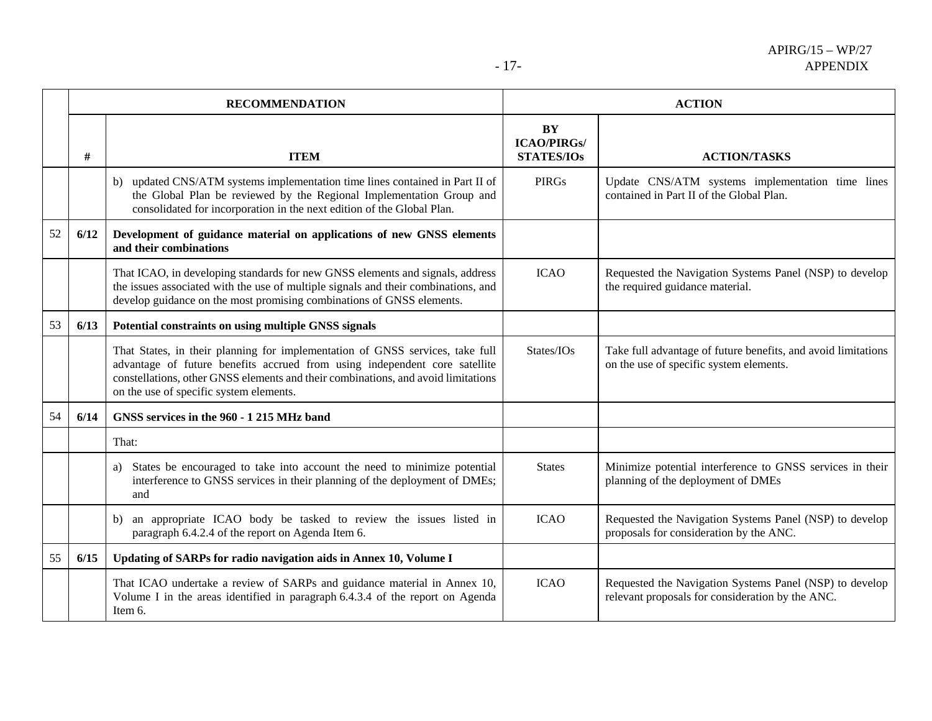|    | <b>RECOMMENDATION</b> |                                                                                                                                                                                                                                                                                             | <b>ACTION</b>                                 |                                                                                                             |
|----|-----------------------|---------------------------------------------------------------------------------------------------------------------------------------------------------------------------------------------------------------------------------------------------------------------------------------------|-----------------------------------------------|-------------------------------------------------------------------------------------------------------------|
|    | #                     | <b>ITEM</b>                                                                                                                                                                                                                                                                                 | BY<br><b>ICAO/PIRGs/</b><br><b>STATES/IOs</b> | <b>ACTION/TASKS</b>                                                                                         |
|    |                       | updated CNS/ATM systems implementation time lines contained in Part II of<br>b)<br>the Global Plan be reviewed by the Regional Implementation Group and<br>consolidated for incorporation in the next edition of the Global Plan.                                                           | <b>PIRGs</b>                                  | Update CNS/ATM systems implementation time lines<br>contained in Part II of the Global Plan.                |
| 52 | 6/12                  | Development of guidance material on applications of new GNSS elements<br>and their combinations                                                                                                                                                                                             |                                               |                                                                                                             |
|    |                       | That ICAO, in developing standards for new GNSS elements and signals, address<br>the issues associated with the use of multiple signals and their combinations, and<br>develop guidance on the most promising combinations of GNSS elements.                                                | <b>ICAO</b>                                   | Requested the Navigation Systems Panel (NSP) to develop<br>the required guidance material.                  |
| 53 | 6/13                  | Potential constraints on using multiple GNSS signals                                                                                                                                                                                                                                        |                                               |                                                                                                             |
|    |                       | That States, in their planning for implementation of GNSS services, take full<br>advantage of future benefits accrued from using independent core satellite<br>constellations, other GNSS elements and their combinations, and avoid limitations<br>on the use of specific system elements. | States/IOs                                    | Take full advantage of future benefits, and avoid limitations<br>on the use of specific system elements.    |
| 54 | 6/14                  | GNSS services in the 960 - 1 215 MHz band                                                                                                                                                                                                                                                   |                                               |                                                                                                             |
|    |                       | That:                                                                                                                                                                                                                                                                                       |                                               |                                                                                                             |
|    |                       | States be encouraged to take into account the need to minimize potential<br>a)<br>interference to GNSS services in their planning of the deployment of DMEs;<br>and                                                                                                                         | <b>States</b>                                 | Minimize potential interference to GNSS services in their<br>planning of the deployment of DMEs             |
|    |                       | an appropriate ICAO body be tasked to review the issues listed in<br>b)<br>paragraph 6.4.2.4 of the report on Agenda Item 6.                                                                                                                                                                | <b>ICAO</b>                                   | Requested the Navigation Systems Panel (NSP) to develop<br>proposals for consideration by the ANC.          |
| 55 | 6/15                  | Updating of SARPs for radio navigation aids in Annex 10, Volume I                                                                                                                                                                                                                           |                                               |                                                                                                             |
|    |                       | That ICAO undertake a review of SARPs and guidance material in Annex 10,<br>Volume I in the areas identified in paragraph 6.4.3.4 of the report on Agenda<br>Item 6.                                                                                                                        | <b>ICAO</b>                                   | Requested the Navigation Systems Panel (NSP) to develop<br>relevant proposals for consideration by the ANC. |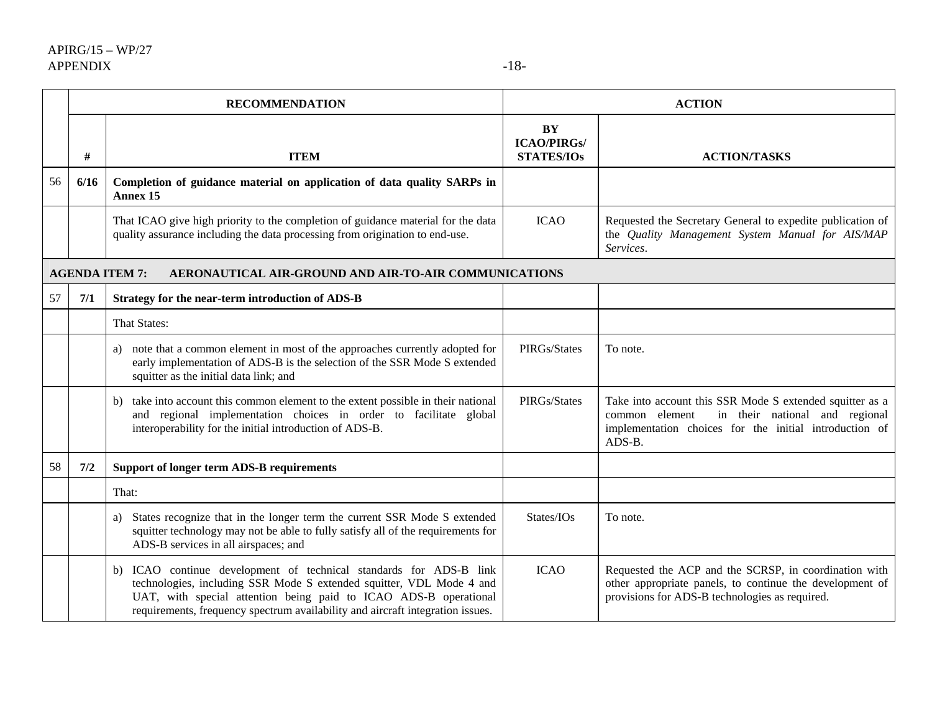|    |      | <b>RECOMMENDATION</b>                                                                                                                                                                                                                                                                            |                                               | <b>ACTION</b>                                                                                                                                                                    |
|----|------|--------------------------------------------------------------------------------------------------------------------------------------------------------------------------------------------------------------------------------------------------------------------------------------------------|-----------------------------------------------|----------------------------------------------------------------------------------------------------------------------------------------------------------------------------------|
|    | #    | <b>ITEM</b>                                                                                                                                                                                                                                                                                      | BY<br><b>ICAO/PIRGs/</b><br><b>STATES/IOs</b> | <b>ACTION/TASKS</b>                                                                                                                                                              |
| 56 | 6/16 | Completion of guidance material on application of data quality SARPs in<br>Annex 15                                                                                                                                                                                                              |                                               |                                                                                                                                                                                  |
|    |      | That ICAO give high priority to the completion of guidance material for the data<br>quality assurance including the data processing from origination to end-use.                                                                                                                                 | <b>ICAO</b>                                   | Requested the Secretary General to expedite publication of<br>the Quality Management System Manual for AIS/MAP<br>Services.                                                      |
|    |      | AERONAUTICAL AIR-GROUND AND AIR-TO-AIR COMMUNICATIONS<br><b>AGENDA ITEM 7:</b>                                                                                                                                                                                                                   |                                               |                                                                                                                                                                                  |
| 57 | 7/1  | Strategy for the near-term introduction of ADS-B                                                                                                                                                                                                                                                 |                                               |                                                                                                                                                                                  |
|    |      | That States:                                                                                                                                                                                                                                                                                     |                                               |                                                                                                                                                                                  |
|    |      | a) note that a common element in most of the approaches currently adopted for<br>early implementation of ADS-B is the selection of the SSR Mode S extended<br>squitter as the initial data link; and                                                                                             | PIRGs/States                                  | To note.                                                                                                                                                                         |
|    |      | b) take into account this common element to the extent possible in their national<br>and regional implementation choices in order to facilitate global<br>interoperability for the initial introduction of ADS-B.                                                                                | PIRGs/States                                  | Take into account this SSR Mode S extended squitter as a<br>in their national and regional<br>common element<br>implementation choices for the initial introduction of<br>ADS-B. |
| 58 | 7/2  | <b>Support of longer term ADS-B requirements</b>                                                                                                                                                                                                                                                 |                                               |                                                                                                                                                                                  |
|    |      | That:                                                                                                                                                                                                                                                                                            |                                               |                                                                                                                                                                                  |
|    |      | States recognize that in the longer term the current SSR Mode S extended<br>a)<br>squitter technology may not be able to fully satisfy all of the requirements for<br>ADS-B services in all airspaces; and                                                                                       | States/IOs                                    | To note.                                                                                                                                                                         |
|    |      | b) ICAO continue development of technical standards for ADS-B link<br>technologies, including SSR Mode S extended squitter, VDL Mode 4 and<br>UAT, with special attention being paid to ICAO ADS-B operational<br>requirements, frequency spectrum availability and aircraft integration issues. | <b>ICAO</b>                                   | Requested the ACP and the SCRSP, in coordination with<br>other appropriate panels, to continue the development of<br>provisions for ADS-B technologies as required.              |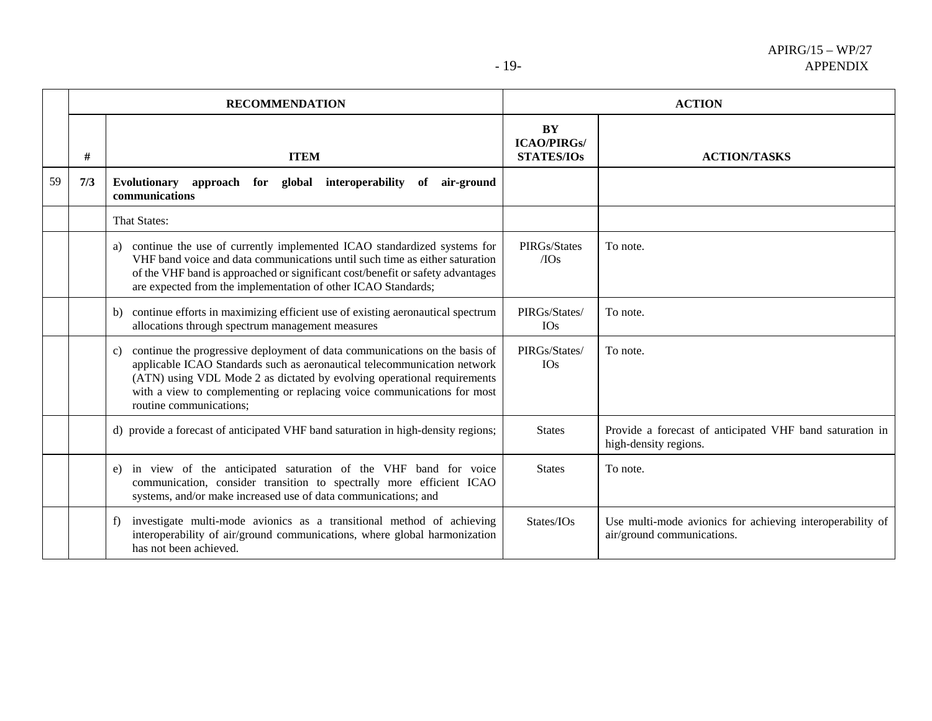|    | <b>RECOMMENDATION</b> |                                                                                                                                                                                                                                                                                                                                               | <b>ACTION</b>                                 |                                                                                         |  |
|----|-----------------------|-----------------------------------------------------------------------------------------------------------------------------------------------------------------------------------------------------------------------------------------------------------------------------------------------------------------------------------------------|-----------------------------------------------|-----------------------------------------------------------------------------------------|--|
|    | #                     | <b>ITEM</b>                                                                                                                                                                                                                                                                                                                                   | BY<br><b>ICAO/PIRGs/</b><br><b>STATES/IOs</b> | <b>ACTION/TASKS</b>                                                                     |  |
| 59 | 7/3                   | <b>Evolutionary</b><br>approach for<br>interoperability<br>of<br>global<br>air-ground<br>communications                                                                                                                                                                                                                                       |                                               |                                                                                         |  |
|    |                       | That States:                                                                                                                                                                                                                                                                                                                                  |                                               |                                                                                         |  |
|    |                       | continue the use of currently implemented ICAO standardized systems for<br>a)<br>VHF band voice and data communications until such time as either saturation<br>of the VHF band is approached or significant cost/benefit or safety advantages<br>are expected from the implementation of other ICAO Standards;                               | PIRGs/States<br>$/$ IOs                       | To note.                                                                                |  |
|    |                       | continue efforts in maximizing efficient use of existing aeronautical spectrum<br>b)<br>allocations through spectrum management measures                                                                                                                                                                                                      | PIRGs/States/<br><b>IOs</b>                   | To note.                                                                                |  |
|    |                       | continue the progressive deployment of data communications on the basis of<br>C)<br>applicable ICAO Standards such as aeronautical telecommunication network<br>(ATN) using VDL Mode 2 as dictated by evolving operational requirements<br>with a view to complementing or replacing voice communications for most<br>routine communications; | PIRGs/States/<br><b>IOs</b>                   | To note.                                                                                |  |
|    |                       | d) provide a forecast of anticipated VHF band saturation in high-density regions;                                                                                                                                                                                                                                                             | <b>States</b>                                 | Provide a forecast of anticipated VHF band saturation in<br>high-density regions.       |  |
|    |                       | in view of the anticipated saturation of the VHF band for voice<br>e)<br>communication, consider transition to spectrally more efficient ICAO<br>systems, and/or make increased use of data communications; and                                                                                                                               | <b>States</b>                                 | To note.                                                                                |  |
|    |                       | investigate multi-mode avionics as a transitional method of achieving<br>f)<br>interoperability of air/ground communications, where global harmonization<br>has not been achieved.                                                                                                                                                            | States/IOs                                    | Use multi-mode avionics for achieving interoperability of<br>air/ground communications. |  |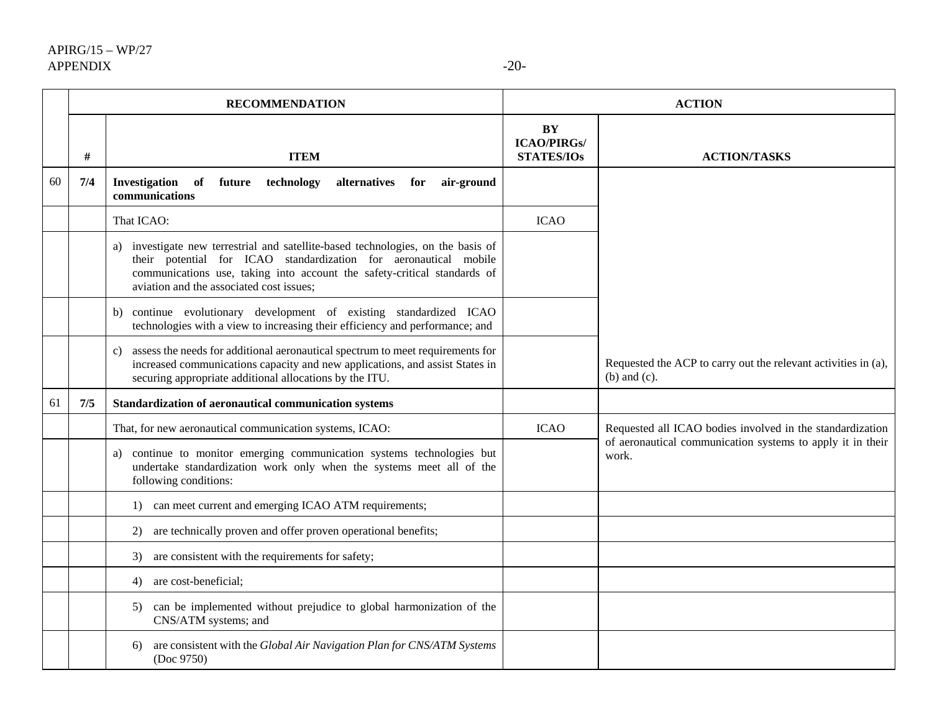|    | <b>RECOMMENDATION</b> |                                                                                                                                                                                                                                                                              |                                               | <b>ACTION</b>                                                                       |
|----|-----------------------|------------------------------------------------------------------------------------------------------------------------------------------------------------------------------------------------------------------------------------------------------------------------------|-----------------------------------------------|-------------------------------------------------------------------------------------|
|    | #                     | <b>ITEM</b>                                                                                                                                                                                                                                                                  | BY<br><b>ICAO/PIRGs/</b><br><b>STATES/IOs</b> | <b>ACTION/TASKS</b>                                                                 |
| 60 | 7/4                   | Investigation<br>of<br>future<br>technology<br>alternatives<br>air-ground<br>for<br>communications                                                                                                                                                                           |                                               |                                                                                     |
|    |                       | That ICAO:                                                                                                                                                                                                                                                                   | <b>ICAO</b>                                   |                                                                                     |
|    |                       | a) investigate new terrestrial and satellite-based technologies, on the basis of<br>their potential for ICAO standardization for aeronautical mobile<br>communications use, taking into account the safety-critical standards of<br>aviation and the associated cost issues; |                                               |                                                                                     |
|    |                       | continue evolutionary development of existing standardized ICAO<br>b)<br>technologies with a view to increasing their efficiency and performance; and                                                                                                                        |                                               |                                                                                     |
|    |                       | assess the needs for additional aeronautical spectrum to meet requirements for<br>C)<br>increased communications capacity and new applications, and assist States in<br>securing appropriate additional allocations by the ITU.                                              |                                               | Requested the ACP to carry out the relevant activities in (a),<br>$(b)$ and $(c)$ . |
| 61 | 7/5                   | Standardization of aeronautical communication systems                                                                                                                                                                                                                        |                                               |                                                                                     |
|    |                       | That, for new aeronautical communication systems, ICAO:                                                                                                                                                                                                                      | <b>ICAO</b>                                   | Requested all ICAO bodies involved in the standardization                           |
|    |                       | continue to monitor emerging communication systems technologies but<br>a)<br>undertake standardization work only when the systems meet all of the<br>following conditions:                                                                                                   |                                               | of aeronautical communication systems to apply it in their<br>work.                 |
|    |                       | 1) can meet current and emerging ICAO ATM requirements;                                                                                                                                                                                                                      |                                               |                                                                                     |
|    |                       | are technically proven and offer proven operational benefits;<br>2)                                                                                                                                                                                                          |                                               |                                                                                     |
|    |                       | are consistent with the requirements for safety;<br>3)                                                                                                                                                                                                                       |                                               |                                                                                     |
|    |                       | are cost-beneficial;<br>4)                                                                                                                                                                                                                                                   |                                               |                                                                                     |
|    |                       | can be implemented without prejudice to global harmonization of the<br>5)<br>CNS/ATM systems; and                                                                                                                                                                            |                                               |                                                                                     |
|    |                       | are consistent with the Global Air Navigation Plan for CNS/ATM Systems<br>6)<br>(Doc 9750)                                                                                                                                                                                   |                                               |                                                                                     |